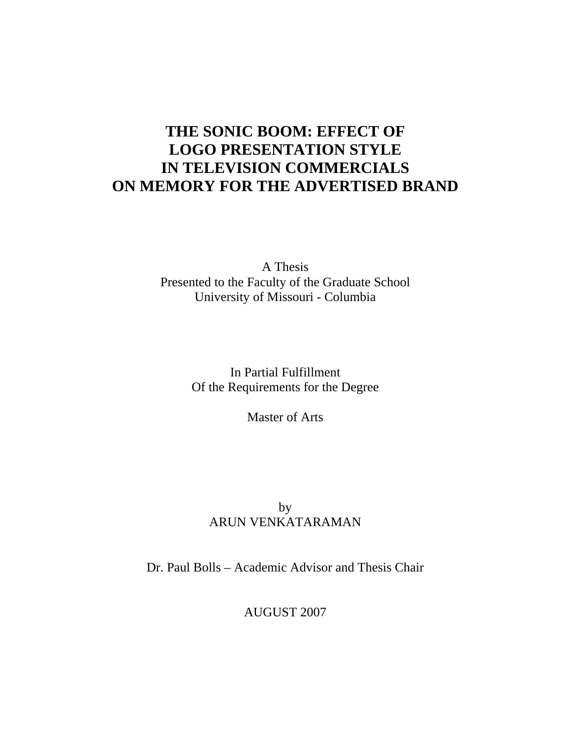# **THE SONIC BOOM: EFFECT OF LOGO PRESENTATION STYLE IN TELEVISION COMMERCIALS ON MEMORY FOR THE ADVERTISED BRAND**

A Thesis Presented to the Faculty of the Graduate School University of Missouri - Columbia

> In Partial Fulfillment Of the Requirements for the Degree

> > Master of Arts

# by ARUN VENKATARAMAN

Dr. Paul Bolls – Academic Advisor and Thesis Chair

AUGUST 2007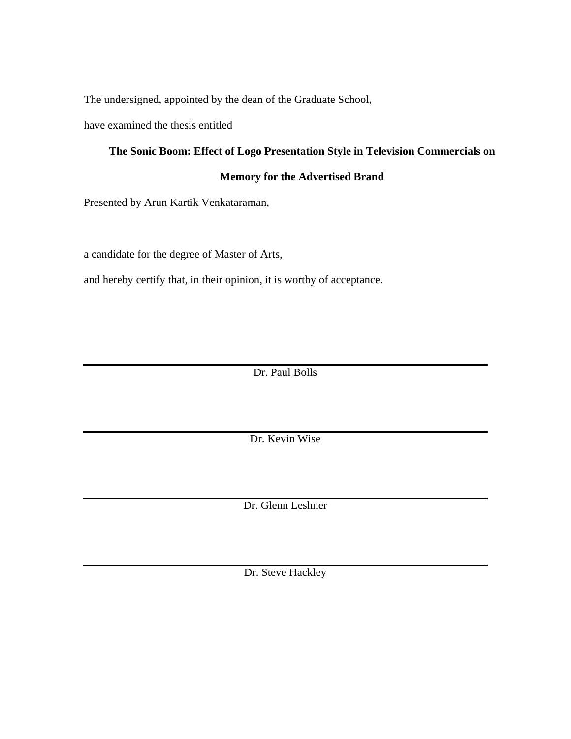The undersigned, appointed by the dean of the Graduate School,

have examined the thesis entitled

# **The Sonic Boom: Effect of Logo Presentation Style in Television Commercials on**

## **Memory for the Advertised Brand**

Presented by Arun Kartik Venkataraman,

a candidate for the degree of Master of Arts,

and hereby certify that, in their opinion, it is worthy of acceptance.

Dr. Paul Bolls

Dr. Kevin Wise

Dr. Glenn Leshner

Dr. Steve Hackley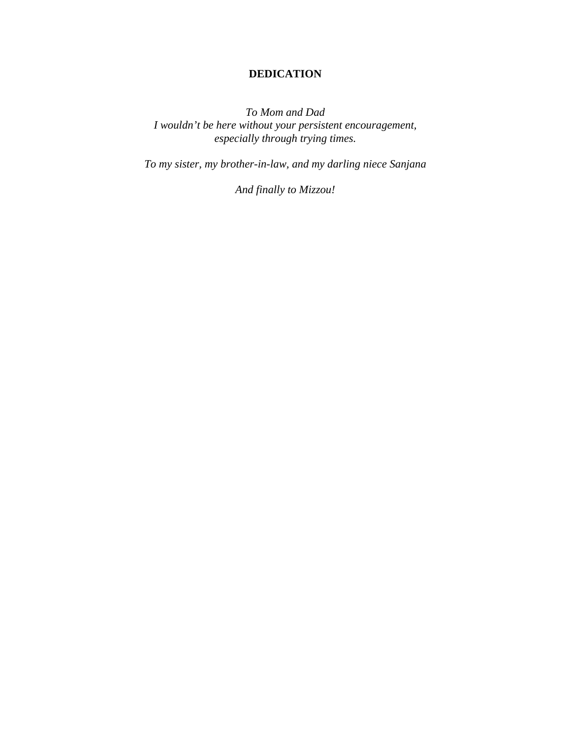# **DEDICATION**

*To Mom and Dad I wouldn't be here without your persistent encouragement, especially through trying times.* 

*To my sister, my brother-in-law, and my darling niece Sanjana* 

*And finally to Mizzou!*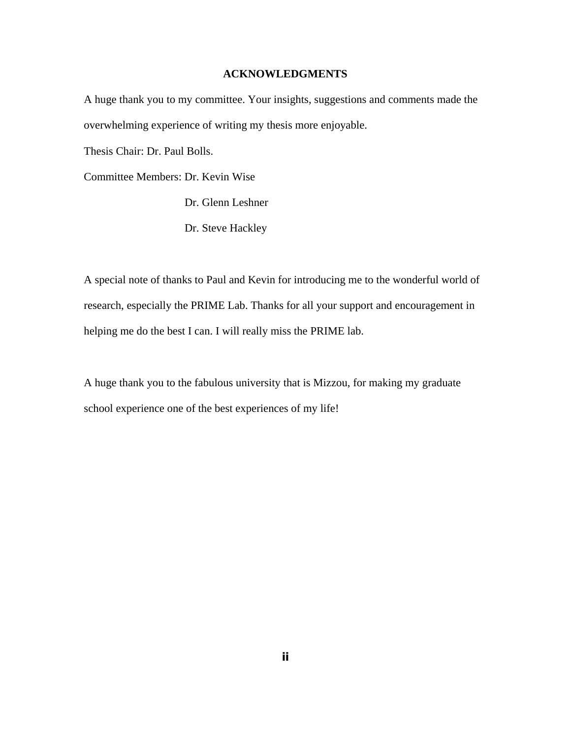### **ACKNOWLEDGMENTS**

A huge thank you to my committee. Your insights, suggestions and comments made the overwhelming experience of writing my thesis more enjoyable.

Thesis Chair: Dr. Paul Bolls.

Committee Members: Dr. Kevin Wise

Dr. Glenn Leshner

Dr. Steve Hackley

A special note of thanks to Paul and Kevin for introducing me to the wonderful world of research, especially the PRIME Lab. Thanks for all your support and encouragement in helping me do the best I can. I will really miss the PRIME lab.

A huge thank you to the fabulous university that is Mizzou, for making my graduate school experience one of the best experiences of my life!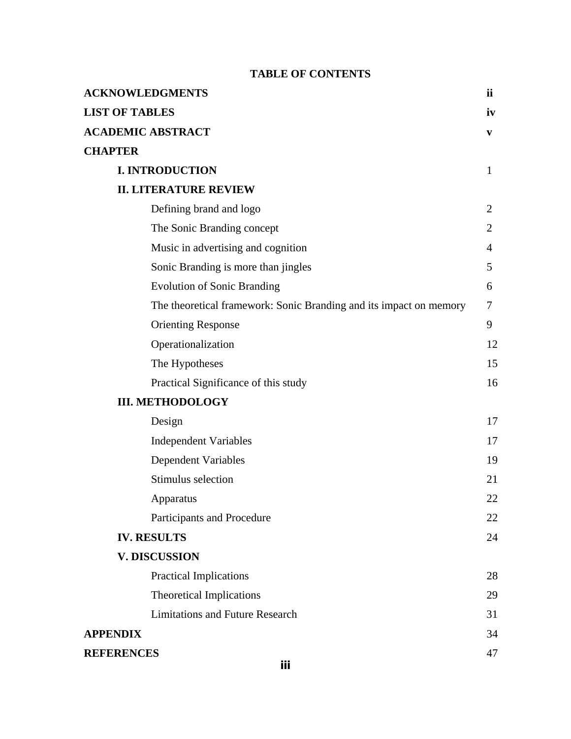# **TABLE OF CONTENTS**

| <b>ACKNOWLEDGMENTS</b>                                             | ii             |
|--------------------------------------------------------------------|----------------|
| <b>LIST OF TABLES</b>                                              | iv             |
| <b>ACADEMIC ABSTRACT</b>                                           | V              |
| <b>CHAPTER</b>                                                     |                |
| <b>I. INTRODUCTION</b>                                             | $\mathbf{1}$   |
| <b>II. LITERATURE REVIEW</b>                                       |                |
| Defining brand and logo                                            | $\overline{2}$ |
| The Sonic Branding concept                                         | 2              |
| Music in advertising and cognition                                 | 4              |
| Sonic Branding is more than jingles                                | 5              |
| <b>Evolution of Sonic Branding</b>                                 | 6              |
| The theoretical framework: Sonic Branding and its impact on memory | 7              |
| <b>Orienting Response</b>                                          | 9              |
| Operationalization                                                 | 12             |
| The Hypotheses                                                     | 15             |
| Practical Significance of this study                               | 16             |
| <b>III. METHODOLOGY</b>                                            |                |
| Design                                                             | 17             |
| <b>Independent Variables</b>                                       | 17             |
| <b>Dependent Variables</b>                                         | 19             |
| Stimulus selection                                                 | 21             |
| Apparatus                                                          | 22             |
| Participants and Procedure                                         | 22             |
| <b>IV. RESULTS</b>                                                 | 24             |
| <b>V. DISCUSSION</b>                                               |                |
| <b>Practical Implications</b>                                      | 28             |
| <b>Theoretical Implications</b>                                    | 29             |
| <b>Limitations and Future Research</b>                             | 31             |
| <b>APPENDIX</b>                                                    | 34             |
| <b>REFERENCES</b><br>:::                                           | 47             |
|                                                                    |                |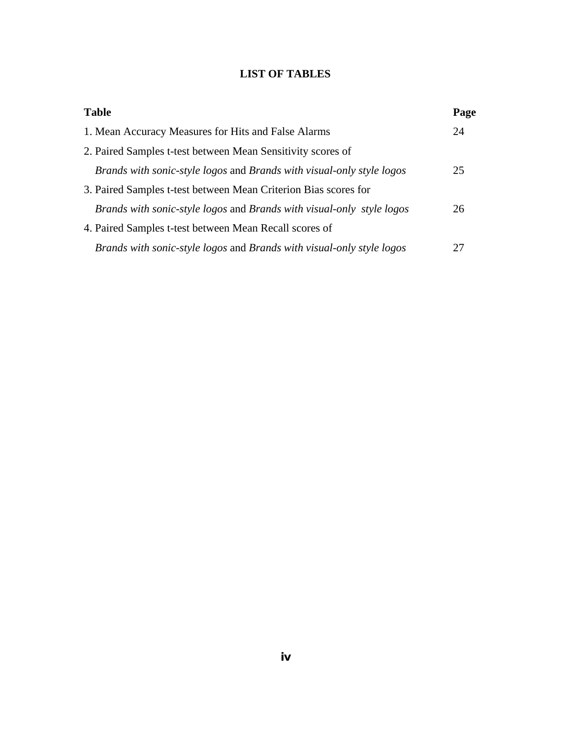# **LIST OF TABLES**

| <b>Table</b>                                                          | Page |
|-----------------------------------------------------------------------|------|
| 1. Mean Accuracy Measures for Hits and False Alarms                   | 24   |
| 2. Paired Samples t-test between Mean Sensitivity scores of           |      |
| Brands with sonic-style logos and Brands with visual-only style logos | 25   |
| 3. Paired Samples t-test between Mean Criterion Bias scores for       |      |
| Brands with sonic-style logos and Brands with visual-only style logos | 26   |
| 4. Paired Samples t-test between Mean Recall scores of                |      |
| Brands with sonic-style logos and Brands with visual-only style logos | 27   |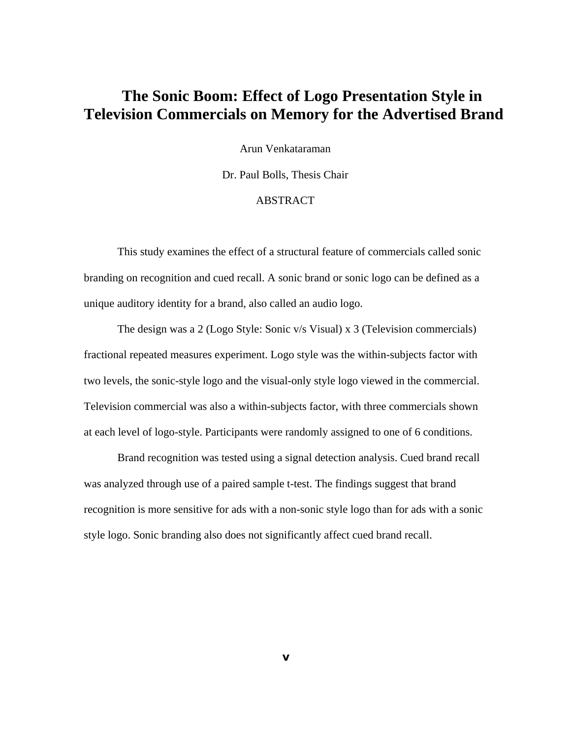# **The Sonic Boom: Effect of Logo Presentation Style in Television Commercials on Memory for the Advertised Brand**

Arun Venkataraman

Dr. Paul Bolls, Thesis Chair

## ABSTRACT

 This study examines the effect of a structural feature of commercials called sonic branding on recognition and cued recall. A sonic brand or sonic logo can be defined as a unique auditory identity for a brand, also called an audio logo.

 The design was a 2 (Logo Style: Sonic v/s Visual) x 3 (Television commercials) fractional repeated measures experiment. Logo style was the within-subjects factor with two levels, the sonic-style logo and the visual-only style logo viewed in the commercial. Television commercial was also a within-subjects factor, with three commercials shown at each level of logo-style. Participants were randomly assigned to one of 6 conditions.

 Brand recognition was tested using a signal detection analysis. Cued brand recall was analyzed through use of a paired sample t-test. The findings suggest that brand recognition is more sensitive for ads with a non-sonic style logo than for ads with a sonic style logo. Sonic branding also does not significantly affect cued brand recall.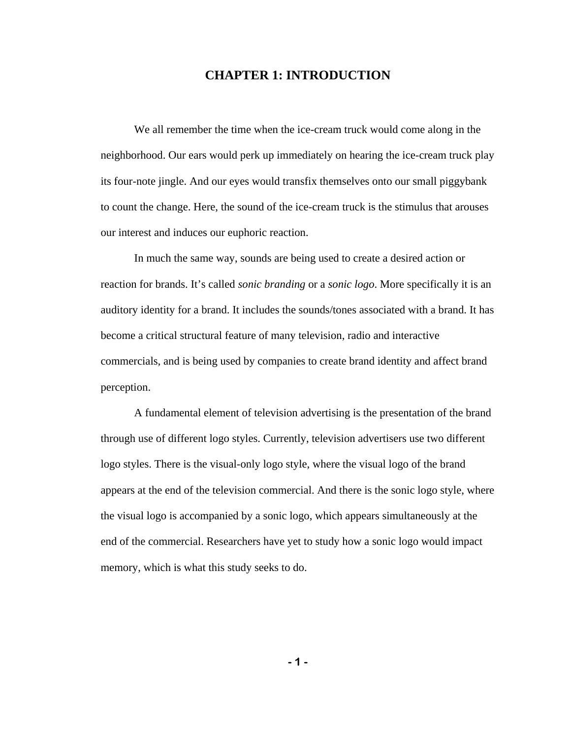## **CHAPTER 1: INTRODUCTION**

We all remember the time when the ice-cream truck would come along in the neighborhood. Our ears would perk up immediately on hearing the ice-cream truck play its four-note jingle. And our eyes would transfix themselves onto our small piggybank to count the change. Here, the sound of the ice-cream truck is the stimulus that arouses our interest and induces our euphoric reaction.

In much the same way, sounds are being used to create a desired action or reaction for brands. It's called *sonic branding* or a *sonic logo*. More specifically it is an auditory identity for a brand. It includes the sounds/tones associated with a brand. It has become a critical structural feature of many television, radio and interactive commercials, and is being used by companies to create brand identity and affect brand perception.

A fundamental element of television advertising is the presentation of the brand through use of different logo styles. Currently, television advertisers use two different logo styles. There is the visual-only logo style, where the visual logo of the brand appears at the end of the television commercial. And there is the sonic logo style, where the visual logo is accompanied by a sonic logo, which appears simultaneously at the end of the commercial. Researchers have yet to study how a sonic logo would impact memory, which is what this study seeks to do.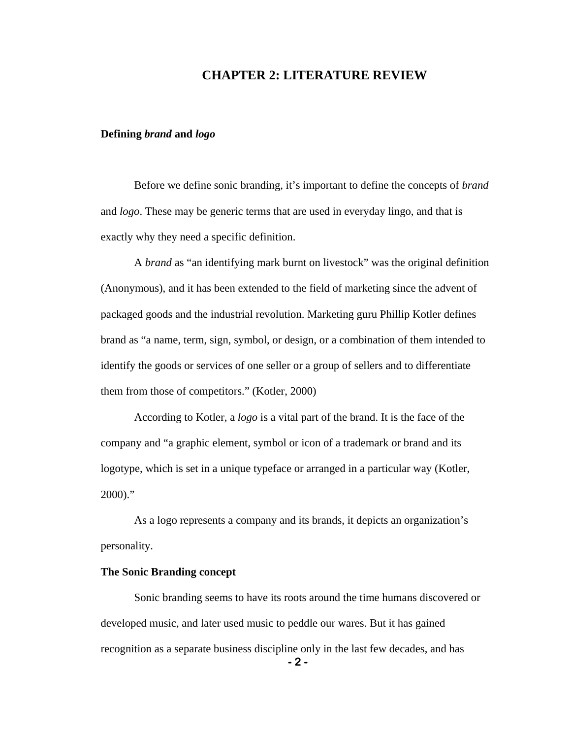## **CHAPTER 2: LITERATURE REVIEW**

### **Defining** *brand* **and** *logo*

Before we define sonic branding, it's important to define the concepts of *brand* and *logo*. These may be generic terms that are used in everyday lingo, and that is exactly why they need a specific definition.

A *brand* as "an identifying mark burnt on livestock" was the original definition (Anonymous), and it has been extended to the field of marketing since the advent of packaged goods and the industrial revolution. Marketing guru Phillip Kotler defines brand as "a name, term, sign, symbol, or design, or a combination of them intended to identify the goods or services of one seller or a group of sellers and to differentiate them from those of competitors." (Kotler, 2000)

According to Kotler, a *logo* is a vital part of the brand. It is the face of the company and "a graphic element, symbol or icon of a trademark or brand and its logotype, which is set in a unique typeface or arranged in a particular way (Kotler,  $2000$ ."

As a logo represents a company and its brands, it depicts an organization's personality.

### **The Sonic Branding concept**

Sonic branding seems to have its roots around the time humans discovered or developed music, and later used music to peddle our wares. But it has gained recognition as a separate business discipline only in the last few decades, and has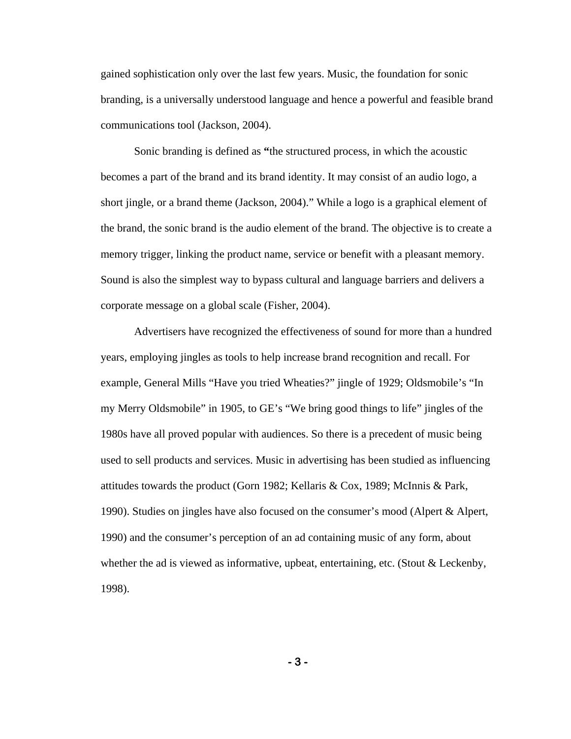gained sophistication only over the last few years. Music, the foundation for sonic branding, is a universally understood language and hence a powerful and feasible brand communications tool (Jackson, 2004).

Sonic branding is defined as **"**the structured process, in which the acoustic becomes a part of the brand and its brand identity. It may consist of an audio logo, a short jingle, or a brand theme (Jackson, 2004)." While a logo is a graphical element of the brand, the sonic brand is the audio element of the brand. The objective is to create a memory trigger, linking the product name, service or benefit with a pleasant memory. Sound is also the simplest way to bypass cultural and language barriers and delivers a corporate message on a global scale (Fisher, 2004).

Advertisers have recognized the effectiveness of sound for more than a hundred years, employing jingles as tools to help increase brand recognition and recall. For example, General Mills "Have you tried Wheaties?" jingle of 1929; Oldsmobile's "In my Merry Oldsmobile" in 1905, to GE's "We bring good things to life" jingles of the 1980s have all proved popular with audiences. So there is a precedent of music being used to sell products and services. Music in advertising has been studied as influencing attitudes towards the product (Gorn 1982; Kellaris & Cox, 1989; McInnis & Park, 1990). Studies on jingles have also focused on the consumer's mood (Alpert & Alpert, 1990) and the consumer's perception of an ad containing music of any form, about whether the ad is viewed as informative, upbeat, entertaining, etc. (Stout & Leckenby, 1998).

**- 3 -**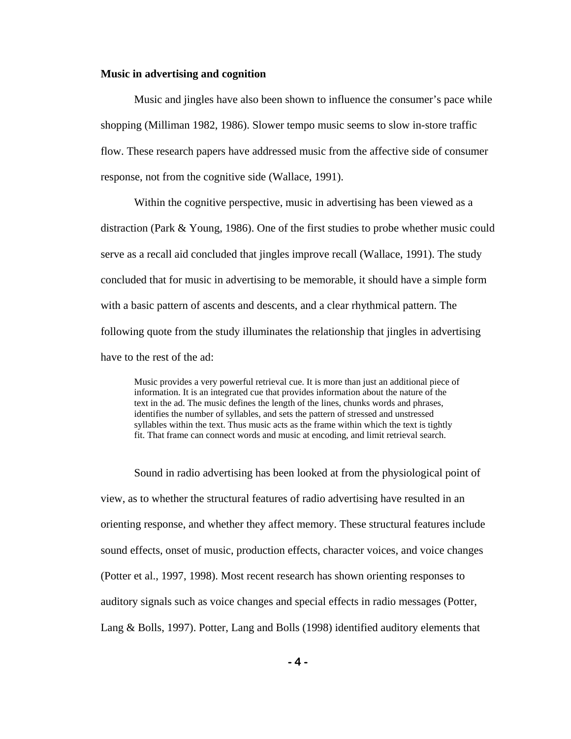#### **Music in advertising and cognition**

Music and jingles have also been shown to influence the consumer's pace while shopping (Milliman 1982, 1986). Slower tempo music seems to slow in-store traffic flow. These research papers have addressed music from the affective side of consumer response, not from the cognitive side (Wallace, 1991).

Within the cognitive perspective, music in advertising has been viewed as a distraction (Park & Young, 1986). One of the first studies to probe whether music could serve as a recall aid concluded that jingles improve recall (Wallace, 1991). The study concluded that for music in advertising to be memorable, it should have a simple form with a basic pattern of ascents and descents, and a clear rhythmical pattern. The following quote from the study illuminates the relationship that jingles in advertising have to the rest of the ad:

Music provides a very powerful retrieval cue. It is more than just an additional piece of information. It is an integrated cue that provides information about the nature of the text in the ad. The music defines the length of the lines, chunks words and phrases, identifies the number of syllables, and sets the pattern of stressed and unstressed syllables within the text. Thus music acts as the frame within which the text is tightly fit. That frame can connect words and music at encoding, and limit retrieval search.

Sound in radio advertising has been looked at from the physiological point of view, as to whether the structural features of radio advertising have resulted in an orienting response, and whether they affect memory. These structural features include sound effects, onset of music, production effects, character voices, and voice changes (Potter et al., 1997, 1998). Most recent research has shown orienting responses to auditory signals such as voice changes and special effects in radio messages (Potter, Lang & Bolls, 1997). Potter, Lang and Bolls (1998) identified auditory elements that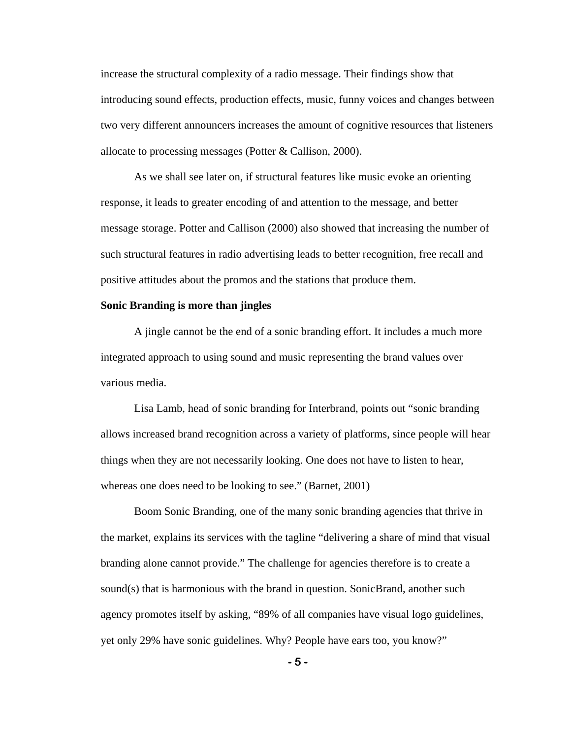increase the structural complexity of a radio message. Their findings show that introducing sound effects, production effects, music, funny voices and changes between two very different announcers increases the amount of cognitive resources that listeners allocate to processing messages (Potter & Callison, 2000).

As we shall see later on, if structural features like music evoke an orienting response, it leads to greater encoding of and attention to the message, and better message storage. Potter and Callison (2000) also showed that increasing the number of such structural features in radio advertising leads to better recognition, free recall and positive attitudes about the promos and the stations that produce them.

#### **Sonic Branding is more than jingles**

A jingle cannot be the end of a sonic branding effort. It includes a much more integrated approach to using sound and music representing the brand values over various media.

Lisa Lamb, head of sonic branding for Interbrand, points out "sonic branding allows increased brand recognition across a variety of platforms, since people will hear things when they are not necessarily looking. One does not have to listen to hear, whereas one does need to be looking to see." (Barnet, 2001)

 Boom Sonic Branding, one of the many sonic branding agencies that thrive in the market, explains its services with the tagline "delivering a share of mind that visual branding alone cannot provide." The challenge for agencies therefore is to create a sound(s) that is harmonious with the brand in question. SonicBrand, another such agency promotes itself by asking, "89% of all companies have visual logo guidelines, yet only 29% have sonic guidelines. Why? People have ears too, you know?"

**- 5 -**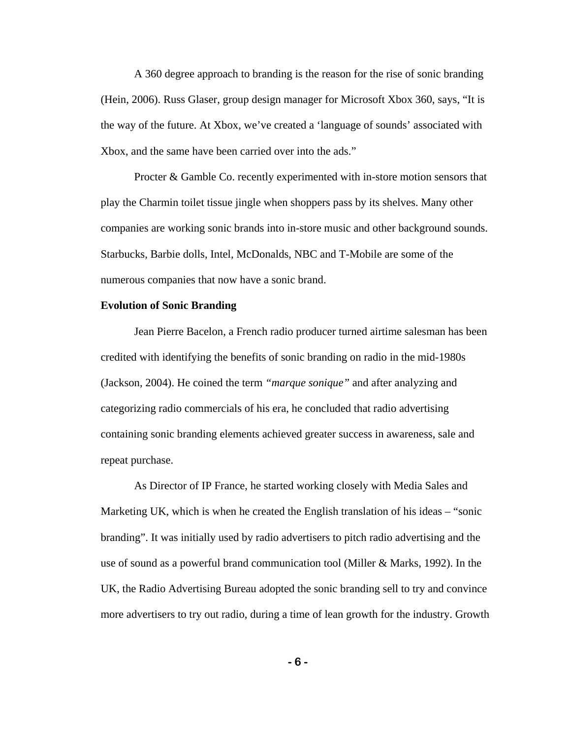A 360 degree approach to branding is the reason for the rise of sonic branding (Hein, 2006). Russ Glaser, group design manager for Microsoft Xbox 360, says, "It is the way of the future. At Xbox, we've created a 'language of sounds' associated with Xbox, and the same have been carried over into the ads."

Procter & Gamble Co. recently experimented with in-store motion sensors that play the Charmin toilet tissue jingle when shoppers pass by its shelves. Many other companies are working sonic brands into in-store music and other background sounds. Starbucks, Barbie dolls, Intel, McDonalds, NBC and T-Mobile are some of the numerous companies that now have a sonic brand.

#### **Evolution of Sonic Branding**

Jean Pierre Bacelon, a French radio producer turned airtime salesman has been credited with identifying the benefits of sonic branding on radio in the mid-1980s (Jackson, 2004). He coined the term *"marque sonique"* and after analyzing and categorizing radio commercials of his era, he concluded that radio advertising containing sonic branding elements achieved greater success in awareness, sale and repeat purchase.

 As Director of IP France, he started working closely with Media Sales and Marketing UK, which is when he created the English translation of his ideas – "sonic branding". It was initially used by radio advertisers to pitch radio advertising and the use of sound as a powerful brand communication tool (Miller & Marks, 1992). In the UK, the Radio Advertising Bureau adopted the sonic branding sell to try and convince more advertisers to try out radio, during a time of lean growth for the industry. Growth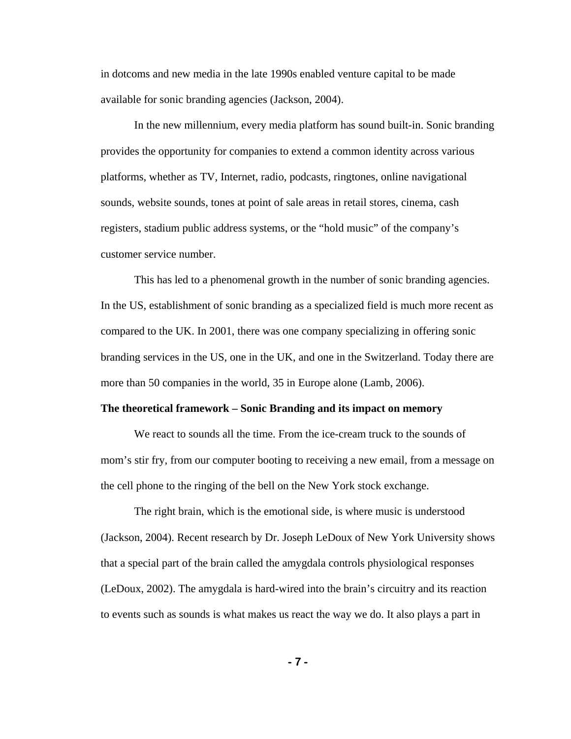in dotcoms and new media in the late 1990s enabled venture capital to be made available for sonic branding agencies (Jackson, 2004).

In the new millennium, every media platform has sound built-in. Sonic branding provides the opportunity for companies to extend a common identity across various platforms, whether as TV, Internet, radio, podcasts, ringtones, online navigational sounds, website sounds, tones at point of sale areas in retail stores, cinema, cash registers, stadium public address systems, or the "hold music" of the company's customer service number.

 This has led to a phenomenal growth in the number of sonic branding agencies. In the US, establishment of sonic branding as a specialized field is much more recent as compared to the UK. In 2001, there was one company specializing in offering sonic branding services in the US, one in the UK, and one in the Switzerland. Today there are more than 50 companies in the world, 35 in Europe alone (Lamb, 2006).

#### **The theoretical framework – Sonic Branding and its impact on memory**

We react to sounds all the time. From the ice-cream truck to the sounds of mom's stir fry, from our computer booting to receiving a new email, from a message on the cell phone to the ringing of the bell on the New York stock exchange.

The right brain, which is the emotional side, is where music is understood (Jackson, 2004). Recent research by Dr. Joseph LeDoux of New York University shows that a special part of the brain called the amygdala controls physiological responses (LeDoux, 2002). The amygdala is hard-wired into the brain's circuitry and its reaction to events such as sounds is what makes us react the way we do. It also plays a part in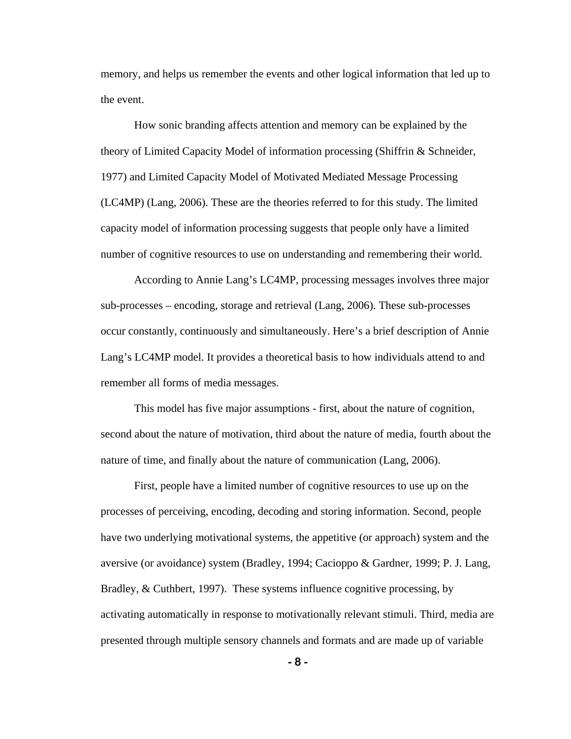memory, and helps us remember the events and other logical information that led up to the event.

How sonic branding affects attention and memory can be explained by the theory of Limited Capacity Model of information processing (Shiffrin & Schneider, 1977) and Limited Capacity Model of Motivated Mediated Message Processing (LC4MP) (Lang, 2006). These are the theories referred to for this study. The limited capacity model of information processing suggests that people only have a limited number of cognitive resources to use on understanding and remembering their world.

According to Annie Lang's LC4MP, processing messages involves three major sub-processes – encoding, storage and retrieval (Lang, 2006). These sub-processes occur constantly, continuously and simultaneously. Here's a brief description of Annie Lang's LC4MP model. It provides a theoretical basis to how individuals attend to and remember all forms of media messages.

This model has five major assumptions - first, about the nature of cognition, second about the nature of motivation, third about the nature of media, fourth about the nature of time, and finally about the nature of communication (Lang, 2006).

First, people have a limited number of cognitive resources to use up on the processes of perceiving, encoding, decoding and storing information. Second, people have two underlying motivational systems, the appetitive (or approach) system and the aversive (or avoidance) system (Bradley, 1994; Cacioppo & Gardner, 1999; P. J. Lang, Bradley, & Cuthbert, 1997). These systems influence cognitive processing, by activating automatically in response to motivationally relevant stimuli. Third, media are presented through multiple sensory channels and formats and are made up of variable

**- 8 -**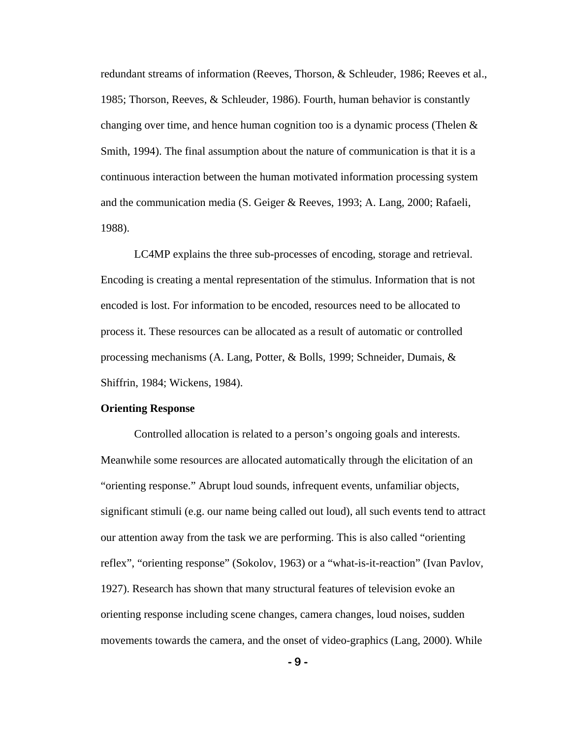redundant streams of information (Reeves, Thorson, & Schleuder, 1986; Reeves et al., 1985; Thorson, Reeves, & Schleuder, 1986). Fourth, human behavior is constantly changing over time, and hence human cognition too is a dynamic process (Thelen  $\&$ Smith, 1994). The final assumption about the nature of communication is that it is a continuous interaction between the human motivated information processing system and the communication media (S. Geiger & Reeves, 1993; A. Lang, 2000; Rafaeli, 1988).

LC4MP explains the three sub-processes of encoding, storage and retrieval. Encoding is creating a mental representation of the stimulus. Information that is not encoded is lost. For information to be encoded, resources need to be allocated to process it. These resources can be allocated as a result of automatic or controlled processing mechanisms (A. Lang, Potter, & Bolls, 1999; Schneider, Dumais, & Shiffrin, 1984; Wickens, 1984).

#### **Orienting Response**

Controlled allocation is related to a person's ongoing goals and interests. Meanwhile some resources are allocated automatically through the elicitation of an "orienting response." Abrupt loud sounds, infrequent events, unfamiliar objects, significant stimuli (e.g. our name being called out loud), all such events tend to attract our attention away from the task we are performing. This is also called "orienting reflex", "orienting response" (Sokolov, 1963) or a "what-is-it-reaction" (Ivan Pavlov, 1927). Research has shown that many structural features of television evoke an orienting response including scene changes, camera changes, loud noises, sudden movements towards the camera, and the onset of video-graphics (Lang, 2000). While

**- 9 -**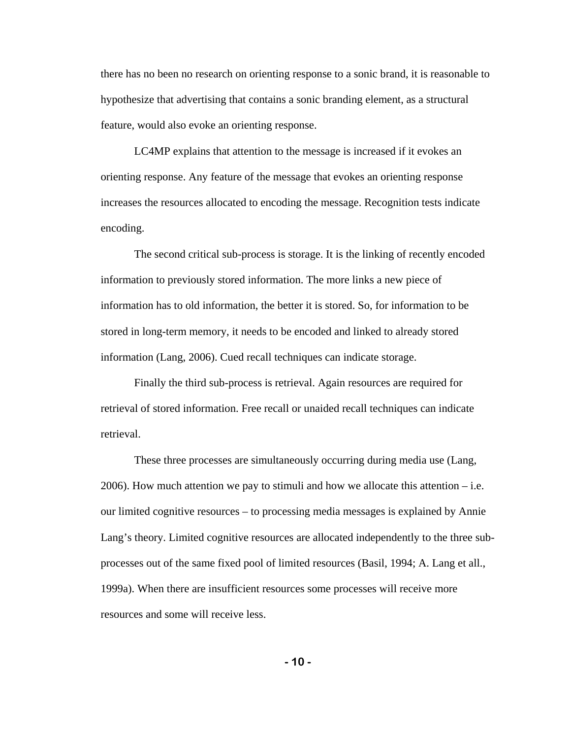there has no been no research on orienting response to a sonic brand, it is reasonable to hypothesize that advertising that contains a sonic branding element, as a structural feature, would also evoke an orienting response.

 LC4MP explains that attention to the message is increased if it evokes an orienting response. Any feature of the message that evokes an orienting response increases the resources allocated to encoding the message. Recognition tests indicate encoding.

The second critical sub-process is storage. It is the linking of recently encoded information to previously stored information. The more links a new piece of information has to old information, the better it is stored. So, for information to be stored in long-term memory, it needs to be encoded and linked to already stored information (Lang, 2006). Cued recall techniques can indicate storage.

Finally the third sub-process is retrieval. Again resources are required for retrieval of stored information. Free recall or unaided recall techniques can indicate retrieval.

These three processes are simultaneously occurring during media use (Lang,  $2006$ ). How much attention we pay to stimuli and how we allocate this attention – i.e. our limited cognitive resources – to processing media messages is explained by Annie Lang's theory. Limited cognitive resources are allocated independently to the three subprocesses out of the same fixed pool of limited resources (Basil, 1994; A. Lang et all., 1999a). When there are insufficient resources some processes will receive more resources and some will receive less.

**- 10 -**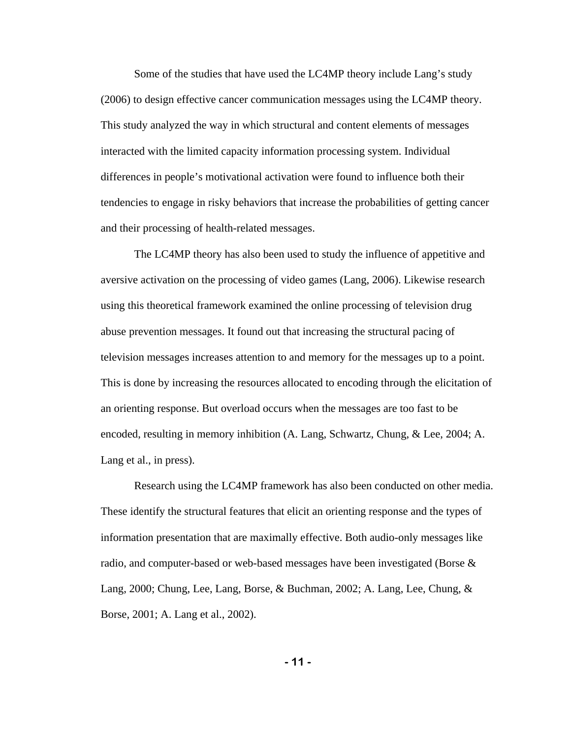Some of the studies that have used the LC4MP theory include Lang's study (2006) to design effective cancer communication messages using the LC4MP theory. This study analyzed the way in which structural and content elements of messages interacted with the limited capacity information processing system. Individual differences in people's motivational activation were found to influence both their tendencies to engage in risky behaviors that increase the probabilities of getting cancer and their processing of health-related messages.

The LC4MP theory has also been used to study the influence of appetitive and aversive activation on the processing of video games (Lang, 2006). Likewise research using this theoretical framework examined the online processing of television drug abuse prevention messages. It found out that increasing the structural pacing of television messages increases attention to and memory for the messages up to a point. This is done by increasing the resources allocated to encoding through the elicitation of an orienting response. But overload occurs when the messages are too fast to be encoded, resulting in memory inhibition (A. Lang, Schwartz, Chung, & Lee, 2004; A. Lang et al., in press).

Research using the LC4MP framework has also been conducted on other media. These identify the structural features that elicit an orienting response and the types of information presentation that are maximally effective. Both audio-only messages like radio, and computer-based or web-based messages have been investigated (Borse & Lang, 2000; Chung, Lee, Lang, Borse, & Buchman, 2002; A. Lang, Lee, Chung, & Borse, 2001; A. Lang et al., 2002).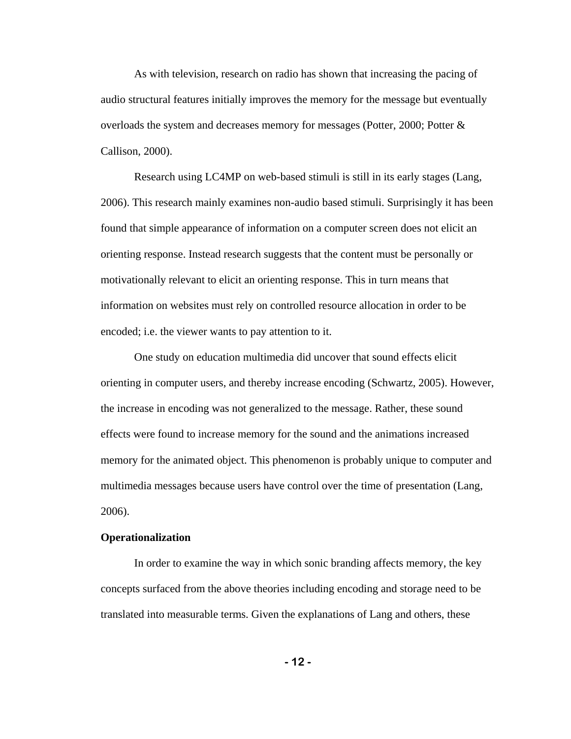As with television, research on radio has shown that increasing the pacing of audio structural features initially improves the memory for the message but eventually overloads the system and decreases memory for messages (Potter, 2000; Potter & Callison, 2000).

 Research using LC4MP on web-based stimuli is still in its early stages (Lang, 2006). This research mainly examines non-audio based stimuli. Surprisingly it has been found that simple appearance of information on a computer screen does not elicit an orienting response. Instead research suggests that the content must be personally or motivationally relevant to elicit an orienting response. This in turn means that information on websites must rely on controlled resource allocation in order to be encoded; i.e. the viewer wants to pay attention to it.

One study on education multimedia did uncover that sound effects elicit orienting in computer users, and thereby increase encoding (Schwartz, 2005). However, the increase in encoding was not generalized to the message. Rather, these sound effects were found to increase memory for the sound and the animations increased memory for the animated object. This phenomenon is probably unique to computer and multimedia messages because users have control over the time of presentation (Lang, 2006).

#### **Operationalization**

In order to examine the way in which sonic branding affects memory, the key concepts surfaced from the above theories including encoding and storage need to be translated into measurable terms. Given the explanations of Lang and others, these

**- 12 -**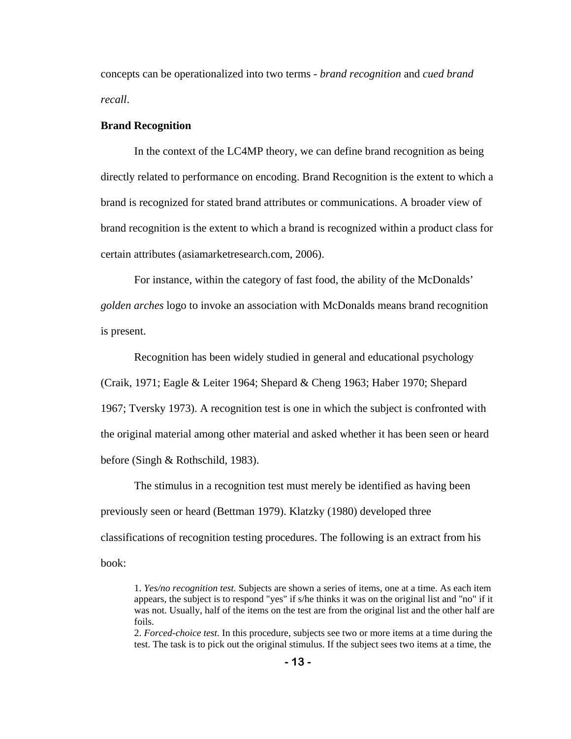concepts can be operationalized into two terms - *brand recognition* and *cued brand recall*.

#### **Brand Recognition**

 In the context of the LC4MP theory, we can define brand recognition as being directly related to performance on encoding. Brand Recognition is the extent to which a brand is recognized for stated brand attributes or communications. A broader view of brand recognition is the extent to which a brand is recognized within a product class for certain attributes (asiamarketresearch.com, 2006).

For instance, within the category of fast food, the ability of the McDonalds' *golden arches* logo to invoke an association with McDonalds means brand recognition is present.

 Recognition has been widely studied in general and educational psychology (Craik, 1971; Eagle & Leiter 1964; Shepard & Cheng 1963; Haber 1970; Shepard 1967; Tversky 1973). A recognition test is one in which the subject is confronted with the original material among other material and asked whether it has been seen or heard before (Singh & Rothschild, 1983).

The stimulus in a recognition test must merely be identified as having been previously seen or heard (Bettman 1979). Klatzky (1980) developed three classifications of recognition testing procedures. The following is an extract from his book:

2. *Forced-choice test.* In this procedure, subjects see two or more items at a time during the test. The task is to pick out the original stimulus. If the subject sees two items at a time, the

<sup>1.</sup> *Yes/no recognition test.* Subjects are shown a series of items, one at a time. As each item appears, the subject is to respond "yes" if s/he thinks it was on the original list and "no" if it was not. Usually, half of the items on the test are from the original list and the other half are foils.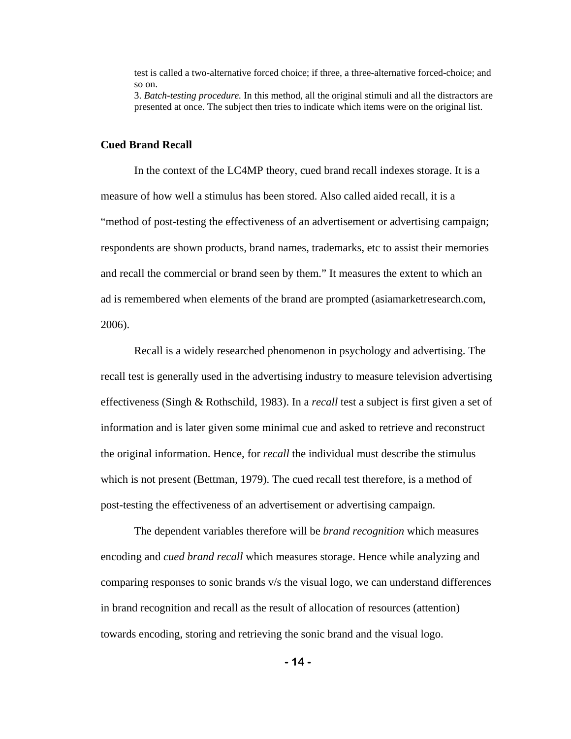test is called a two-alternative forced choice; if three, a three-alternative forced-choice; and so on.

3. *Batch-testing procedure.* In this method, all the original stimuli and all the distractors are presented at once. The subject then tries to indicate which items were on the original list.

### **Cued Brand Recall**

In the context of the LC4MP theory, cued brand recall indexes storage. It is a measure of how well a stimulus has been stored. Also called aided recall, it is a "method of post-testing the effectiveness of an advertisement or advertising campaign; respondents are shown products, brand names, trademarks, etc to assist their memories and recall the commercial or brand seen by them." It measures the extent to which an ad is remembered when elements of the brand are prompted (asiamarketresearch.com, 2006).

 Recall is a widely researched phenomenon in psychology and advertising. The recall test is generally used in the advertising industry to measure television advertising effectiveness (Singh & Rothschild, 1983). In a *recall* test a subject is first given a set of information and is later given some minimal cue and asked to retrieve and reconstruct the original information. Hence, for *recall* the individual must describe the stimulus which is not present (Bettman, 1979). The cued recall test therefore, is a method of post-testing the effectiveness of an advertisement or advertising campaign.

The dependent variables therefore will be *brand recognition* which measures encoding and *cued brand recall* which measures storage. Hence while analyzing and comparing responses to sonic brands v/s the visual logo, we can understand differences in brand recognition and recall as the result of allocation of resources (attention) towards encoding, storing and retrieving the sonic brand and the visual logo.

**- 14 -**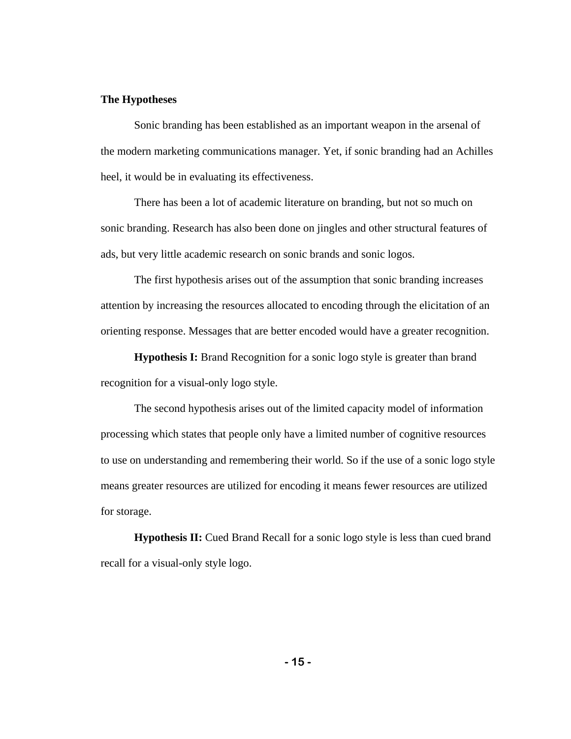### **The Hypotheses**

Sonic branding has been established as an important weapon in the arsenal of the modern marketing communications manager. Yet, if sonic branding had an Achilles heel, it would be in evaluating its effectiveness.

 There has been a lot of academic literature on branding, but not so much on sonic branding. Research has also been done on jingles and other structural features of ads, but very little academic research on sonic brands and sonic logos.

The first hypothesis arises out of the assumption that sonic branding increases attention by increasing the resources allocated to encoding through the elicitation of an orienting response. Messages that are better encoded would have a greater recognition.

**Hypothesis I:** Brand Recognition for a sonic logo style is greater than brand recognition for a visual-only logo style.

The second hypothesis arises out of the limited capacity model of information processing which states that people only have a limited number of cognitive resources to use on understanding and remembering their world. So if the use of a sonic logo style means greater resources are utilized for encoding it means fewer resources are utilized for storage.

**Hypothesis II:** Cued Brand Recall for a sonic logo style is less than cued brand recall for a visual-only style logo.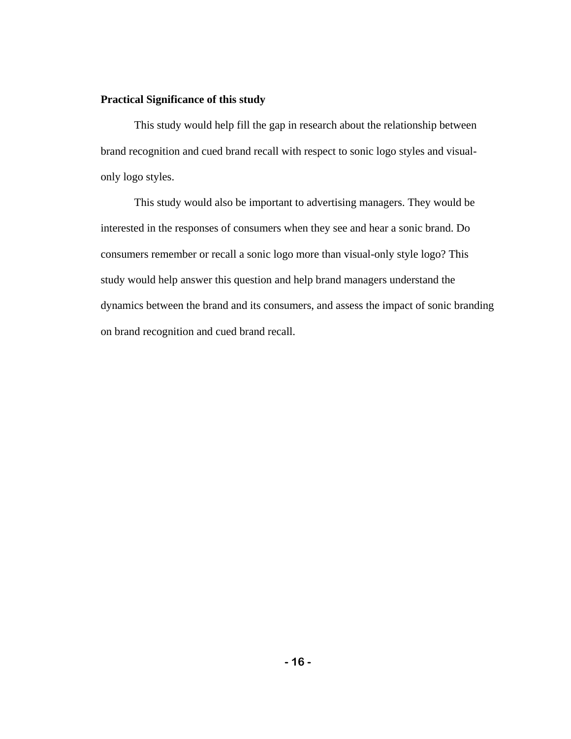### **Practical Significance of this study**

This study would help fill the gap in research about the relationship between brand recognition and cued brand recall with respect to sonic logo styles and visualonly logo styles.

This study would also be important to advertising managers. They would be interested in the responses of consumers when they see and hear a sonic brand. Do consumers remember or recall a sonic logo more than visual-only style logo? This study would help answer this question and help brand managers understand the dynamics between the brand and its consumers, and assess the impact of sonic branding on brand recognition and cued brand recall.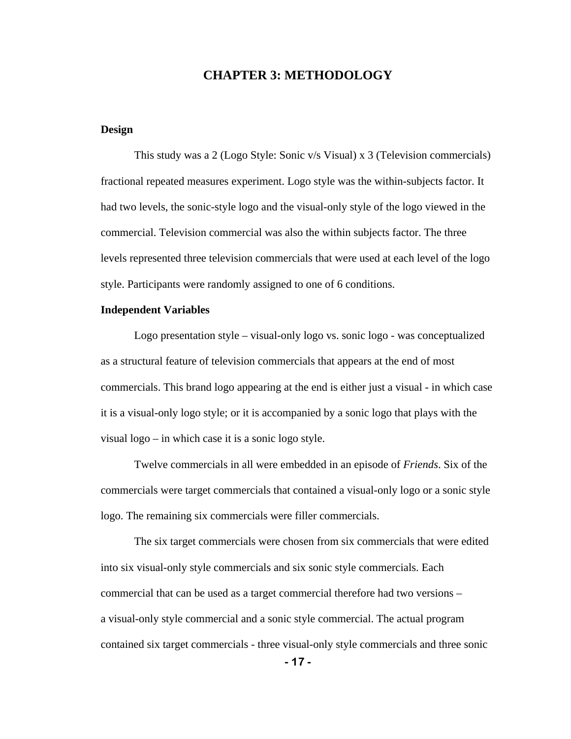## **CHAPTER 3: METHODOLOGY**

### **Design**

This study was a 2 (Logo Style: Sonic v/s Visual) x 3 (Television commercials) fractional repeated measures experiment. Logo style was the within-subjects factor. It had two levels, the sonic-style logo and the visual-only style of the logo viewed in the commercial. Television commercial was also the within subjects factor. The three levels represented three television commercials that were used at each level of the logo style. Participants were randomly assigned to one of 6 conditions.

#### **Independent Variables**

Logo presentation style – visual-only logo vs. sonic logo - was conceptualized as a structural feature of television commercials that appears at the end of most commercials. This brand logo appearing at the end is either just a visual - in which case it is a visual-only logo style; or it is accompanied by a sonic logo that plays with the visual logo – in which case it is a sonic logo style.

Twelve commercials in all were embedded in an episode of *Friends*. Six of the commercials were target commercials that contained a visual-only logo or a sonic style logo. The remaining six commercials were filler commercials.

The six target commercials were chosen from six commercials that were edited into six visual-only style commercials and six sonic style commercials. Each commercial that can be used as a target commercial therefore had two versions – a visual-only style commercial and a sonic style commercial. The actual program contained six target commercials - three visual-only style commercials and three sonic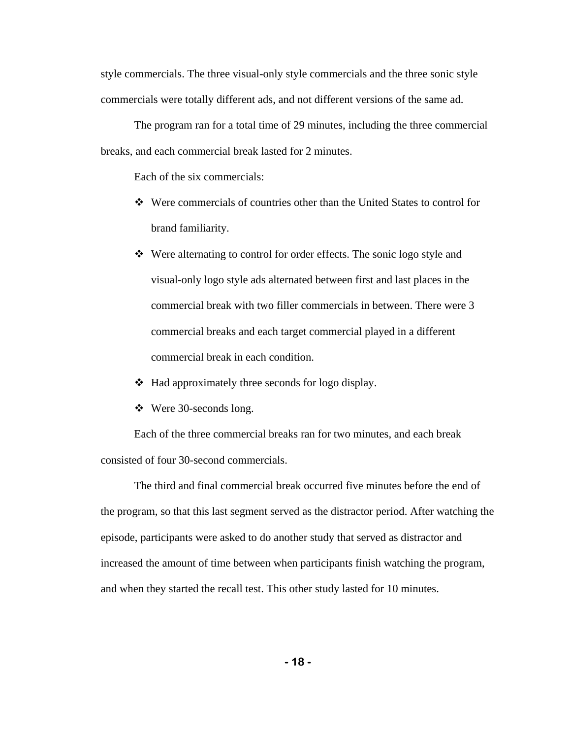style commercials. The three visual-only style commercials and the three sonic style commercials were totally different ads, and not different versions of the same ad.

The program ran for a total time of 29 minutes, including the three commercial breaks, and each commercial break lasted for 2 minutes.

Each of the six commercials:

- Were commercials of countries other than the United States to control for brand familiarity.
- Were alternating to control for order effects. The sonic logo style and visual-only logo style ads alternated between first and last places in the commercial break with two filler commercials in between. There were 3 commercial breaks and each target commercial played in a different commercial break in each condition.
- $\triangleleft$  Had approximately three seconds for logo display.
- Were 30-seconds long.

Each of the three commercial breaks ran for two minutes, and each break consisted of four 30-second commercials.

The third and final commercial break occurred five minutes before the end of the program, so that this last segment served as the distractor period. After watching the episode, participants were asked to do another study that served as distractor and increased the amount of time between when participants finish watching the program, and when they started the recall test. This other study lasted for 10 minutes.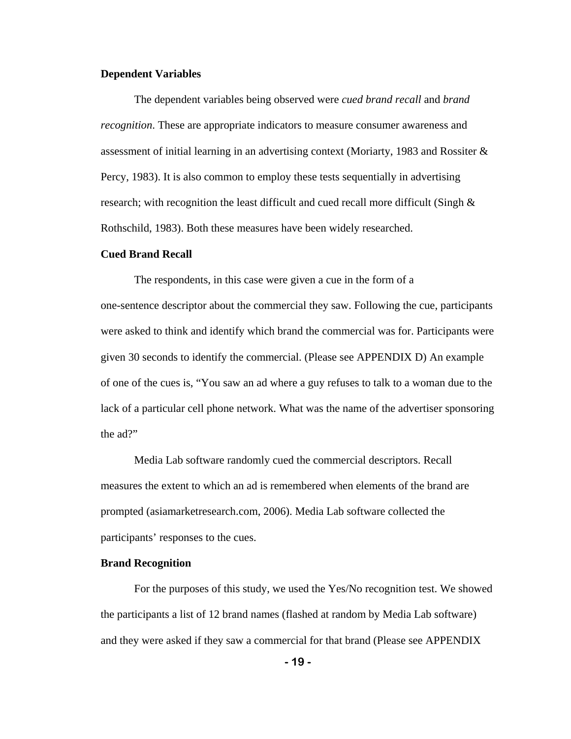### **Dependent Variables**

The dependent variables being observed were *cued brand recall* and *brand recognition*. These are appropriate indicators to measure consumer awareness and assessment of initial learning in an advertising context (Moriarty, 1983 and Rossiter & Percy, 1983). It is also common to employ these tests sequentially in advertising research; with recognition the least difficult and cued recall more difficult (Singh & Rothschild, 1983). Both these measures have been widely researched.

#### **Cued Brand Recall**

The respondents, in this case were given a cue in the form of a one-sentence descriptor about the commercial they saw. Following the cue, participants were asked to think and identify which brand the commercial was for. Participants were given 30 seconds to identify the commercial. (Please see APPENDIX D) An example of one of the cues is, "You saw an ad where a guy refuses to talk to a woman due to the lack of a particular cell phone network. What was the name of the advertiser sponsoring the ad?"

Media Lab software randomly cued the commercial descriptors. Recall measures the extent to which an ad is remembered when elements of the brand are prompted (asiamarketresearch.com, 2006). Media Lab software collected the participants' responses to the cues.

#### **Brand Recognition**

 For the purposes of this study, we used the Yes/No recognition test. We showed the participants a list of 12 brand names (flashed at random by Media Lab software) and they were asked if they saw a commercial for that brand (Please see APPENDIX

**- 19 -**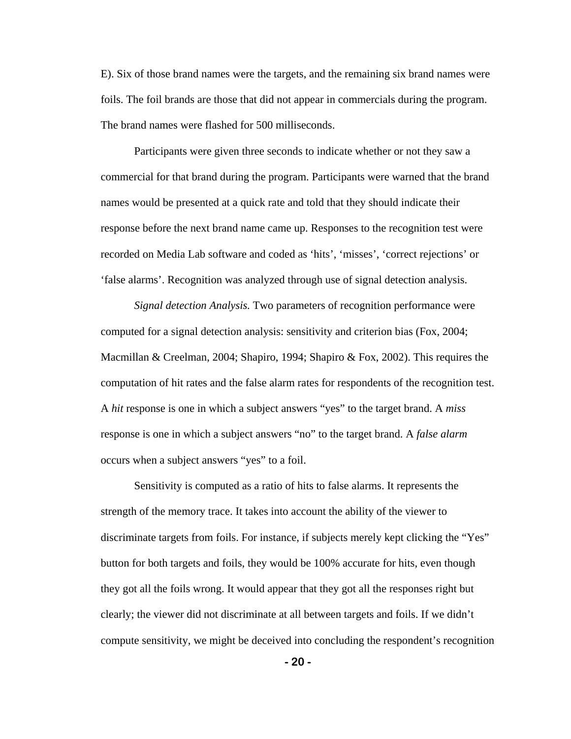E). Six of those brand names were the targets, and the remaining six brand names were foils. The foil brands are those that did not appear in commercials during the program. The brand names were flashed for 500 milliseconds.

 Participants were given three seconds to indicate whether or not they saw a commercial for that brand during the program. Participants were warned that the brand names would be presented at a quick rate and told that they should indicate their response before the next brand name came up. Responses to the recognition test were recorded on Media Lab software and coded as 'hits', 'misses', 'correct rejections' or 'false alarms'. Recognition was analyzed through use of signal detection analysis.

*Signal detection Analysis.* Two parameters of recognition performance were computed for a signal detection analysis: sensitivity and criterion bias (Fox, 2004; Macmillan & Creelman, 2004; Shapiro, 1994; Shapiro & Fox, 2002). This requires the computation of hit rates and the false alarm rates for respondents of the recognition test. A *hit* response is one in which a subject answers "yes" to the target brand. A *miss* response is one in which a subject answers "no" to the target brand. A *false alarm* occurs when a subject answers "yes" to a foil.

Sensitivity is computed as a ratio of hits to false alarms. It represents the strength of the memory trace. It takes into account the ability of the viewer to discriminate targets from foils. For instance, if subjects merely kept clicking the "Yes" button for both targets and foils, they would be 100% accurate for hits, even though they got all the foils wrong. It would appear that they got all the responses right but clearly; the viewer did not discriminate at all between targets and foils. If we didn't compute sensitivity, we might be deceived into concluding the respondent's recognition

**- 20 -**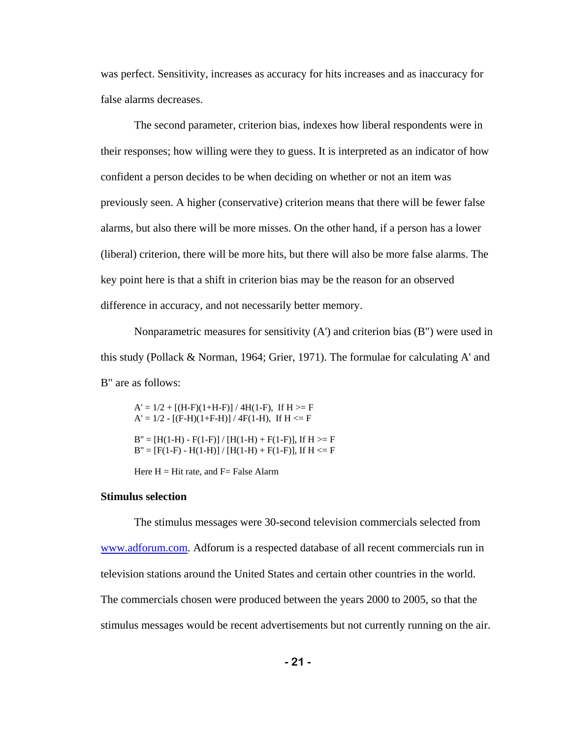was perfect. Sensitivity, increases as accuracy for hits increases and as inaccuracy for false alarms decreases.

The second parameter, criterion bias, indexes how liberal respondents were in their responses; how willing were they to guess. It is interpreted as an indicator of how confident a person decides to be when deciding on whether or not an item was previously seen. A higher (conservative) criterion means that there will be fewer false alarms, but also there will be more misses. On the other hand, if a person has a lower (liberal) criterion, there will be more hits, but there will also be more false alarms. The key point here is that a shift in criterion bias may be the reason for an observed difference in accuracy, and not necessarily better memory.

Nonparametric measures for sensitivity  $(A')$  and criterion bias  $(B'')$  were used in this study (Pollack & Norman, 1964; Grier, 1971). The formulae for calculating A' and B" are as follows:

A' = 1/2 + [(H-F)(1+H-F)] / 4H(1-F), If H >= F<br>A' = 1/2 - [(F-H)(1+F-H)] / 4F(1-H), If H <= F<br>B" = [H(1-H) - F(1-F)] / [H(1-H) + F(1-F)], If H >= F<br>B" = [F(1-F) - H(1-H)] / [H(1-H) + F(1-F)], If H <= F<br>Here H = Hit rate,

#### **Stimulus selection**

 The stimulus messages were 30-second television commercials selected from [www.adforum.com](http://www.adforum.com/). Adforum is a respected database of all recent commercials run in television stations around the United States and certain other countries in the world. The commercials chosen were produced between the years 2000 to 2005, so that the stimulus messages would be recent advertisements but not currently running on the air.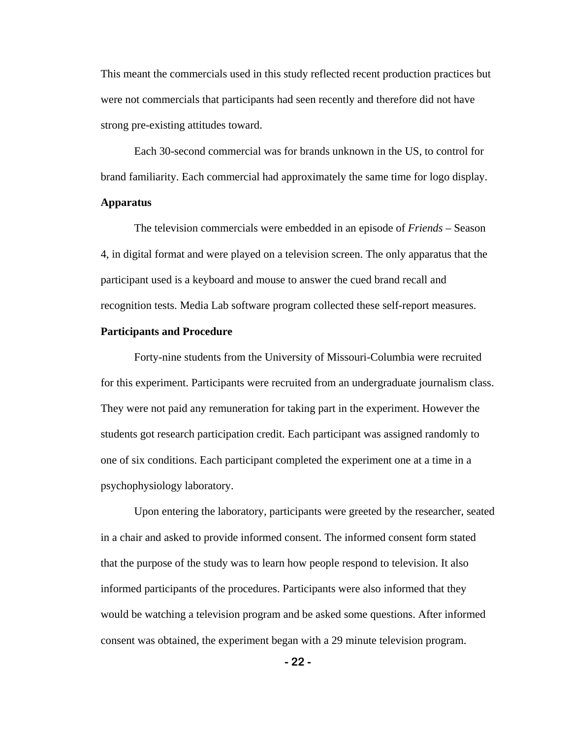This meant the commercials used in this study reflected recent production practices but were not commercials that participants had seen recently and therefore did not have strong pre-existing attitudes toward.

Each 30-second commercial was for brands unknown in the US, to control for brand familiarity. Each commercial had approximately the same time for logo display. **Apparatus** 

 The television commercials were embedded in an episode of *Friends* – Season 4, in digital format and were played on a television screen. The only apparatus that the participant used is a keyboard and mouse to answer the cued brand recall and recognition tests. Media Lab software program collected these self-report measures.

#### **Participants and Procedure**

Forty-nine students from the University of Missouri-Columbia were recruited for this experiment. Participants were recruited from an undergraduate journalism class. They were not paid any remuneration for taking part in the experiment. However the students got research participation credit. Each participant was assigned randomly to one of six conditions. Each participant completed the experiment one at a time in a psychophysiology laboratory.

Upon entering the laboratory, participants were greeted by the researcher, seated in a chair and asked to provide informed consent. The informed consent form stated that the purpose of the study was to learn how people respond to television. It also informed participants of the procedures. Participants were also informed that they would be watching a television program and be asked some questions. After informed consent was obtained, the experiment began with a 29 minute television program.

**- 22 -**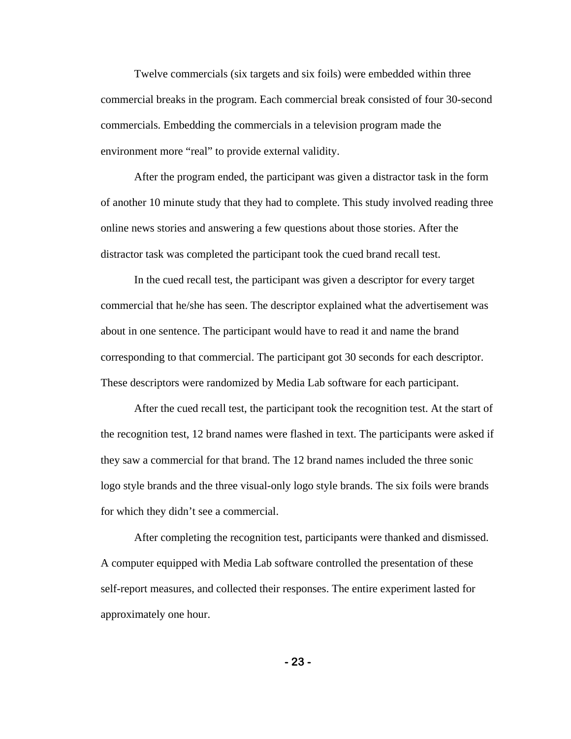Twelve commercials (six targets and six foils) were embedded within three commercial breaks in the program. Each commercial break consisted of four 30-second commercials. Embedding the commercials in a television program made the environment more "real" to provide external validity.

After the program ended, the participant was given a distractor task in the form of another 10 minute study that they had to complete. This study involved reading three online news stories and answering a few questions about those stories. After the distractor task was completed the participant took the cued brand recall test.

In the cued recall test, the participant was given a descriptor for every target commercial that he/she has seen. The descriptor explained what the advertisement was about in one sentence. The participant would have to read it and name the brand corresponding to that commercial. The participant got 30 seconds for each descriptor. These descriptors were randomized by Media Lab software for each participant.

After the cued recall test, the participant took the recognition test. At the start of the recognition test, 12 brand names were flashed in text. The participants were asked if they saw a commercial for that brand. The 12 brand names included the three sonic logo style brands and the three visual-only logo style brands. The six foils were brands for which they didn't see a commercial.

After completing the recognition test, participants were thanked and dismissed. A computer equipped with Media Lab software controlled the presentation of these self-report measures, and collected their responses. The entire experiment lasted for approximately one hour.

**- 23 -**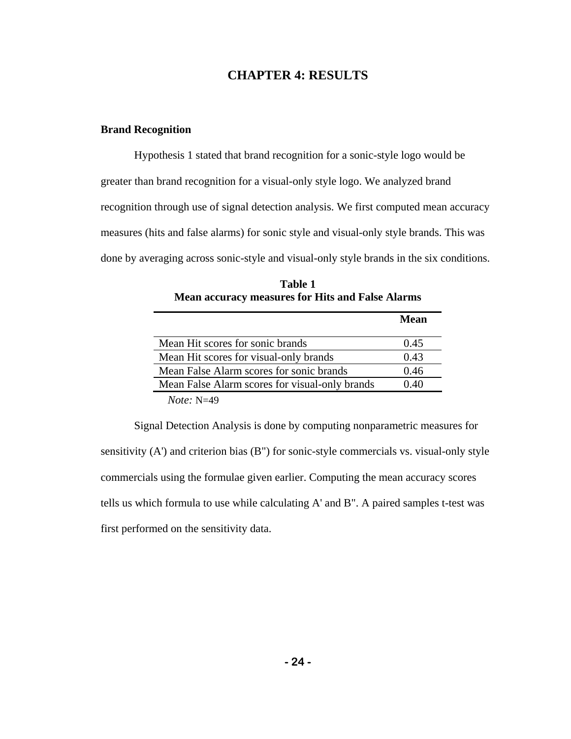## **CHAPTER 4: RESULTS**

### **Brand Recognition**

Hypothesis 1 stated that brand recognition for a sonic-style logo would be greater than brand recognition for a visual-only style logo. We analyzed brand recognition through use of signal detection analysis. We first computed mean accuracy measures (hits and false alarms) for sonic style and visual-only style brands. This was done by averaging across sonic-style and visual-only style brands in the six conditions.

|                                                | Mean |
|------------------------------------------------|------|
| Mean Hit scores for sonic brands               | 0.45 |
| Mean Hit scores for visual-only brands         | 0.43 |
| Mean False Alarm scores for sonic brands       | 0.46 |
| Mean False Alarm scores for visual-only brands | 0.40 |
|                                                |      |

**Table 1 Mean accuracy measures for Hits and False Alarms** 

*Note:* N=49

Signal Detection Analysis is done by computing nonparametric measures for sensitivity (A') and criterion bias (B") for sonic-style commercials vs. visual-only style commercials using the formulae given earlier. Computing the mean accuracy scores tells us which formula to use while calculating A' and B". A paired samples t-test was first performed on the sensitivity data.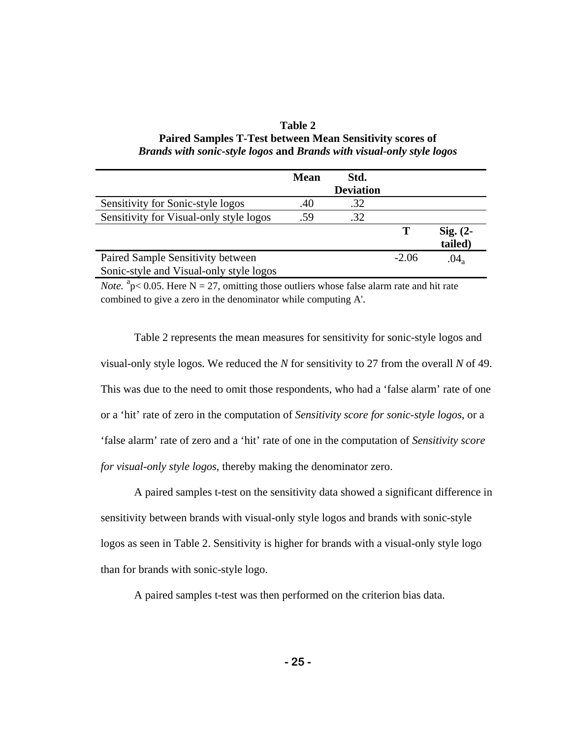| Table 2                                                               |
|-----------------------------------------------------------------------|
| <b>Paired Samples T-Test between Mean Sensitivity scores of</b>       |
| Brands with sonic-style logos and Brands with visual-only style logos |

|                                         | <b>Mean</b> | Std.             |         |               |
|-----------------------------------------|-------------|------------------|---------|---------------|
|                                         |             | <b>Deviation</b> |         |               |
| Sensitivity for Sonic-style logos       | .40         | .32              |         |               |
| Sensitivity for Visual-only style logos | .59         | .32              |         |               |
|                                         |             |                  |         | $Sig. (2-$    |
|                                         |             |                  |         | tailed)       |
| Paired Sample Sensitivity between       |             |                  | $-2.06$ | $.04_{\rm a}$ |
| Sonic-style and Visual-only style logos |             |                  |         |               |

*Note.*  ${}^{a}p< 0.05$ . Here N = 27, omitting those outliers whose false alarm rate and hit rate combined to give a zero in the denominator while computing A'.

Table 2 represents the mean measures for sensitivity for sonic-style logos and visual-only style logos. We reduced the *N* for sensitivity to 27 from the overall *N* of 49. This was due to the need to omit those respondents, who had a 'false alarm' rate of one or a 'hit' rate of zero in the computation of *Sensitivity score for sonic-style logos*, or a 'false alarm' rate of zero and a 'hit' rate of one in the computation of *Sensitivity score for visual-only style logos*, thereby making the denominator zero.

A paired samples t-test on the sensitivity data showed a significant difference in sensitivity between brands with visual-only style logos and brands with sonic-style logos as seen in Table 2. Sensitivity is higher for brands with a visual-only style logo than for brands with sonic-style logo.

A paired samples t-test was then performed on the criterion bias data.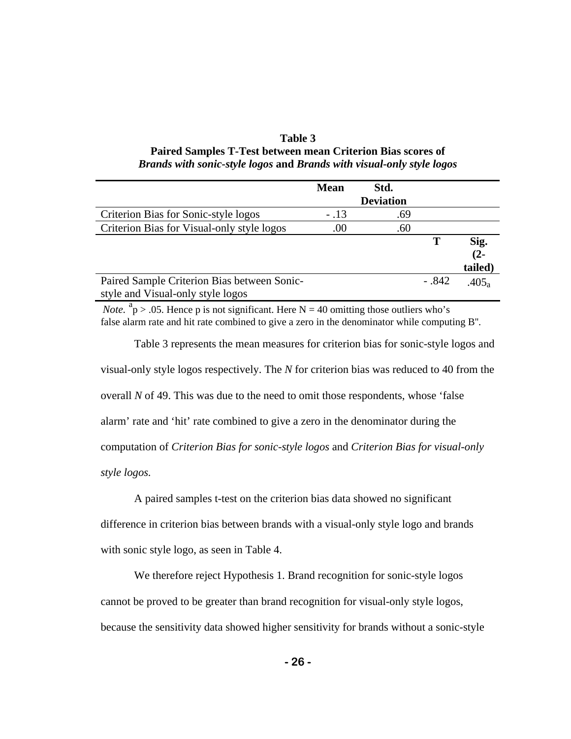| Table 3                                                               |
|-----------------------------------------------------------------------|
| Paired Samples T-Test between mean Criterion Bias scores of           |
| Brands with sonic-style logos and Brands with visual-only style logos |

|                                             | <b>Mean</b> | Std.             |         |                   |
|---------------------------------------------|-------------|------------------|---------|-------------------|
|                                             |             | <b>Deviation</b> |         |                   |
| Criterion Bias for Sonic-style logos        | $-.13$      | .69              |         |                   |
| Criterion Bias for Visual-only style logos  | .00         | .60              |         |                   |
|                                             |             |                  | Т       | Sig.              |
|                                             |             |                  |         | $(2 -$            |
|                                             |             |                  |         | tailed)           |
| Paired Sample Criterion Bias between Sonic- |             |                  | $-.842$ | .405 <sub>a</sub> |
| style and Visual-only style logos           |             |                  |         |                   |

*Note.*  ${}^{a}p$  > .05. Hence p is not significant. Here N = 40 omitting those outliers who's false alarm rate and hit rate combined to give a zero in the denominator while computing B''.

Table 3 represents the mean measures for criterion bias for sonic-style logos and visual-only style logos respectively. The *N* for criterion bias was reduced to 40 from the overall *N* of 49. This was due to the need to omit those respondents, whose 'false alarm' rate and 'hit' rate combined to give a zero in the denominator during the computation of *Criterion Bias for sonic-style logos* and *Criterion Bias for visual-only style logos.*

A paired samples t-test on the criterion bias data showed no significant difference in criterion bias between brands with a visual-only style logo and brands with sonic style logo, as seen in Table 4.

We therefore reject Hypothesis 1. Brand recognition for sonic-style logos cannot be proved to be greater than brand recognition for visual-only style logos, because the sensitivity data showed higher sensitivity for brands without a sonic-style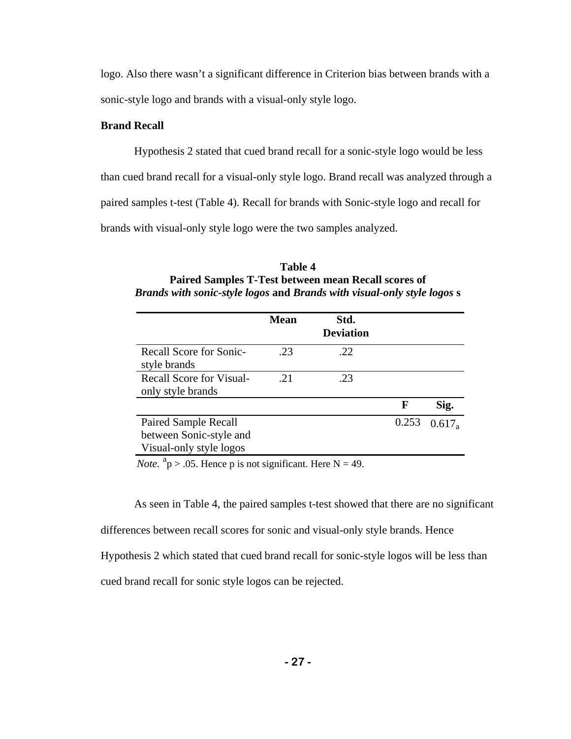logo. Also there wasn't a significant difference in Criterion bias between brands with a sonic-style logo and brands with a visual-only style logo.

## **Brand Recall**

Hypothesis 2 stated that cued brand recall for a sonic-style logo would be less than cued brand recall for a visual-only style logo. Brand recall was analyzed through a paired samples t-test (Table 4). Recall for brands with Sonic-style logo and recall for brands with visual-only style logo were the two samples analyzed.

| Table 4                                                                 |
|-------------------------------------------------------------------------|
| <b>Paired Samples T-Test between mean Recall scores of</b>              |
| Brands with sonic-style logos and Brands with visual-only style logos s |

|                                                                                   | <b>Mean</b> | Std.<br><b>Deviation</b> |       |           |
|-----------------------------------------------------------------------------------|-------------|--------------------------|-------|-----------|
| Recall Score for Sonic-<br>style brands                                           | .23         | .22                      |       |           |
| <b>Recall Score for Visual-</b><br>only style brands                              | 21          | .23                      |       |           |
|                                                                                   |             |                          | F     | Sig.      |
| <b>Paired Sample Recall</b><br>between Sonic-style and<br>Visual-only style logos |             |                          | 0.253 | $0.617_a$ |

*Note.*  $a_p > .05$ . Hence p is not significant. Here N = 49.

As seen in Table 4, the paired samples t-test showed that there are no significant differences between recall scores for sonic and visual-only style brands. Hence Hypothesis 2 which stated that cued brand recall for sonic-style logos will be less than cued brand recall for sonic style logos can be rejected.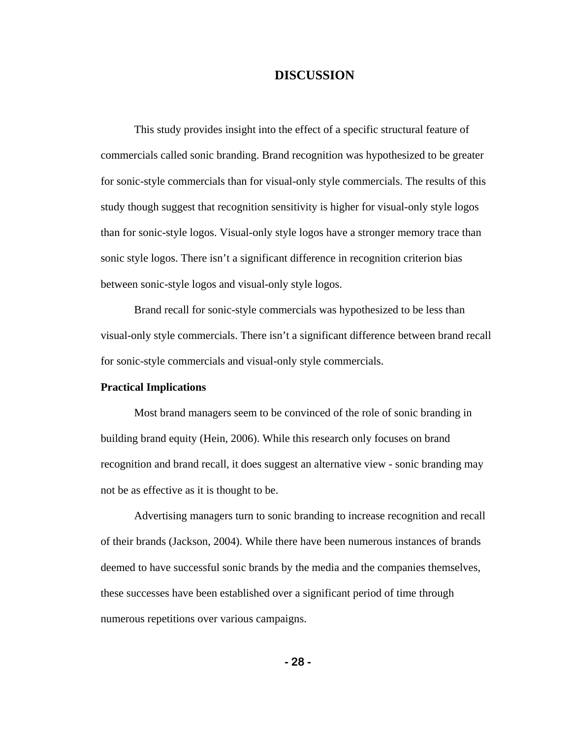### **DISCUSSION**

This study provides insight into the effect of a specific structural feature of commercials called sonic branding. Brand recognition was hypothesized to be greater for sonic-style commercials than for visual-only style commercials. The results of this study though suggest that recognition sensitivity is higher for visual-only style logos than for sonic-style logos. Visual-only style logos have a stronger memory trace than sonic style logos. There isn't a significant difference in recognition criterion bias between sonic-style logos and visual-only style logos.

Brand recall for sonic-style commercials was hypothesized to be less than visual-only style commercials. There isn't a significant difference between brand recall for sonic-style commercials and visual-only style commercials.

### **Practical Implications**

Most brand managers seem to be convinced of the role of sonic branding in building brand equity (Hein, 2006). While this research only focuses on brand recognition and brand recall, it does suggest an alternative view - sonic branding may not be as effective as it is thought to be.

Advertising managers turn to sonic branding to increase recognition and recall of their brands (Jackson, 2004). While there have been numerous instances of brands deemed to have successful sonic brands by the media and the companies themselves, these successes have been established over a significant period of time through numerous repetitions over various campaigns.

**- 28 -**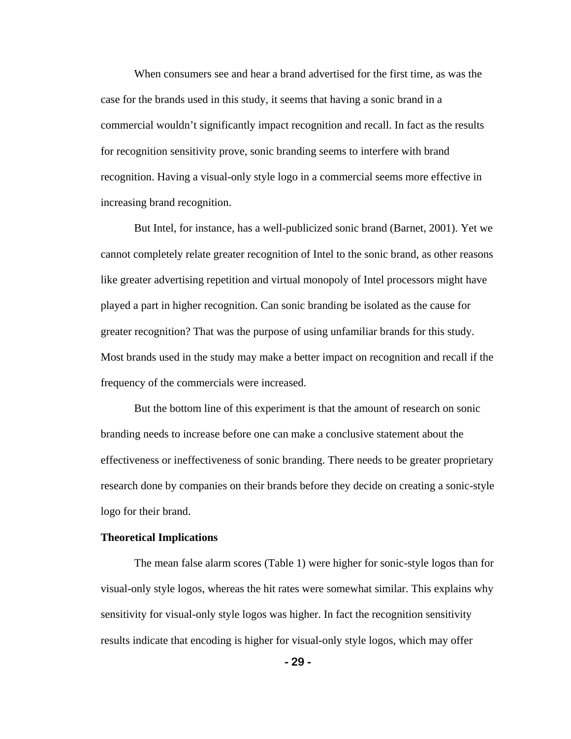When consumers see and hear a brand advertised for the first time, as was the case for the brands used in this study, it seems that having a sonic brand in a commercial wouldn't significantly impact recognition and recall. In fact as the results for recognition sensitivity prove, sonic branding seems to interfere with brand recognition. Having a visual-only style logo in a commercial seems more effective in increasing brand recognition.

But Intel, for instance, has a well-publicized sonic brand (Barnet, 2001). Yet we cannot completely relate greater recognition of Intel to the sonic brand, as other reasons like greater advertising repetition and virtual monopoly of Intel processors might have played a part in higher recognition. Can sonic branding be isolated as the cause for greater recognition? That was the purpose of using unfamiliar brands for this study. Most brands used in the study may make a better impact on recognition and recall if the frequency of the commercials were increased.

But the bottom line of this experiment is that the amount of research on sonic branding needs to increase before one can make a conclusive statement about the effectiveness or ineffectiveness of sonic branding. There needs to be greater proprietary research done by companies on their brands before they decide on creating a sonic-style logo for their brand.

#### **Theoretical Implications**

 The mean false alarm scores (Table 1) were higher for sonic-style logos than for visual-only style logos, whereas the hit rates were somewhat similar. This explains why sensitivity for visual-only style logos was higher. In fact the recognition sensitivity results indicate that encoding is higher for visual-only style logos, which may offer

**- 29 -**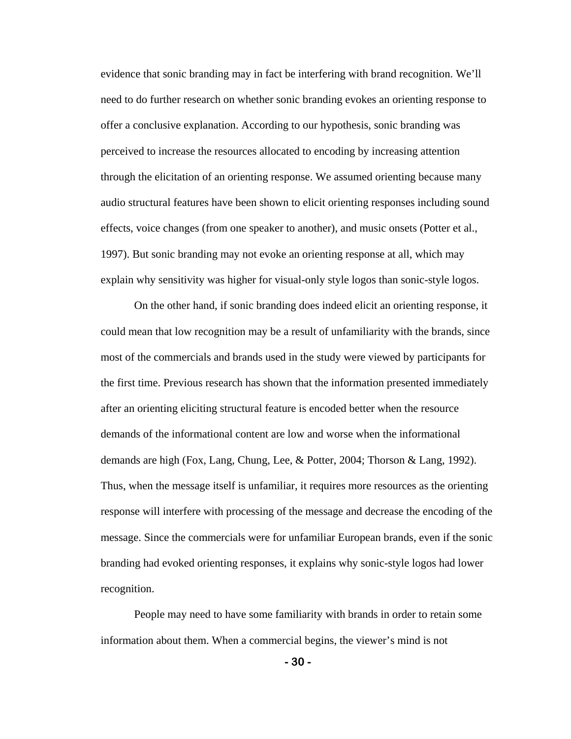evidence that sonic branding may in fact be interfering with brand recognition. We'll need to do further research on whether sonic branding evokes an orienting response to offer a conclusive explanation. According to our hypothesis, sonic branding was perceived to increase the resources allocated to encoding by increasing attention through the elicitation of an orienting response. We assumed orienting because many audio structural features have been shown to elicit orienting responses including sound effects, voice changes (from one speaker to another), and music onsets (Potter et al., 1997). But sonic branding may not evoke an orienting response at all, which may explain why sensitivity was higher for visual-only style logos than sonic-style logos.

On the other hand, if sonic branding does indeed elicit an orienting response, it could mean that low recognition may be a result of unfamiliarity with the brands, since most of the commercials and brands used in the study were viewed by participants for the first time. Previous research has shown that the information presented immediately after an orienting eliciting structural feature is encoded better when the resource demands of the informational content are low and worse when the informational demands are high (Fox, Lang, Chung, Lee, & Potter, 2004; Thorson & Lang, 1992). Thus, when the message itself is unfamiliar, it requires more resources as the orienting response will interfere with processing of the message and decrease the encoding of the message. Since the commercials were for unfamiliar European brands, even if the sonic branding had evoked orienting responses, it explains why sonic-style logos had lower recognition.

 People may need to have some familiarity with brands in order to retain some information about them. When a commercial begins, the viewer's mind is not

**- 30 -**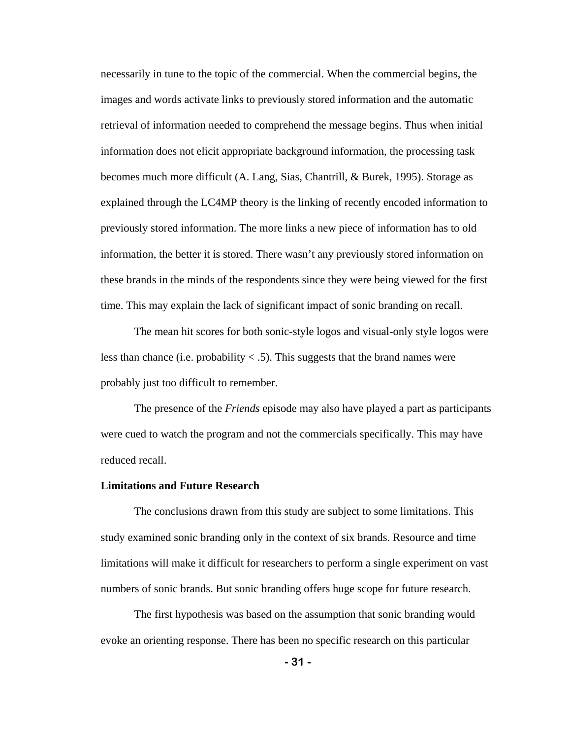necessarily in tune to the topic of the commercial. When the commercial begins, the images and words activate links to previously stored information and the automatic retrieval of information needed to comprehend the message begins. Thus when initial information does not elicit appropriate background information, the processing task becomes much more difficult (A. Lang, Sias, Chantrill, & Burek, 1995). Storage as explained through the LC4MP theory is the linking of recently encoded information to previously stored information. The more links a new piece of information has to old information, the better it is stored. There wasn't any previously stored information on these brands in the minds of the respondents since they were being viewed for the first time. This may explain the lack of significant impact of sonic branding on recall.

The mean hit scores for both sonic-style logos and visual-only style logos were less than chance (i.e. probability  $<$  .5). This suggests that the brand names were probably just too difficult to remember.

The presence of the *Friends* episode may also have played a part as participants were cued to watch the program and not the commercials specifically. This may have reduced recall.

#### **Limitations and Future Research**

The conclusions drawn from this study are subject to some limitations. This study examined sonic branding only in the context of six brands. Resource and time limitations will make it difficult for researchers to perform a single experiment on vast numbers of sonic brands. But sonic branding offers huge scope for future research.

The first hypothesis was based on the assumption that sonic branding would evoke an orienting response. There has been no specific research on this particular

**- 31 -**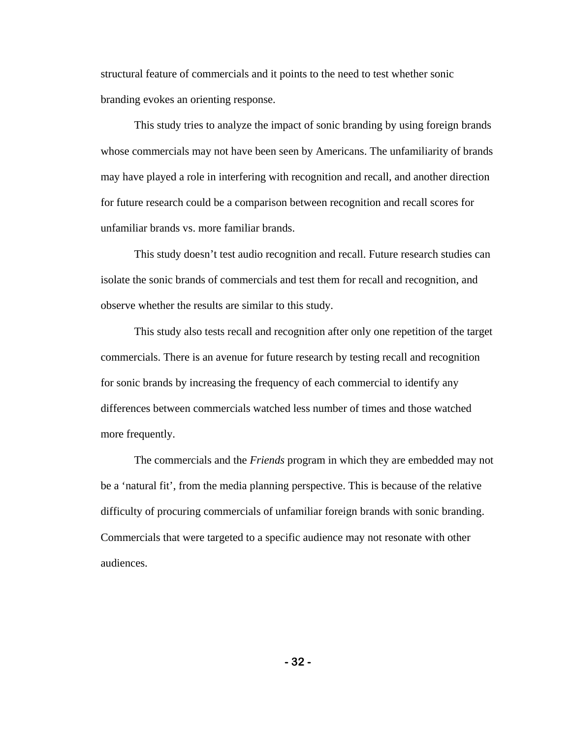structural feature of commercials and it points to the need to test whether sonic branding evokes an orienting response.

This study tries to analyze the impact of sonic branding by using foreign brands whose commercials may not have been seen by Americans. The unfamiliarity of brands may have played a role in interfering with recognition and recall, and another direction for future research could be a comparison between recognition and recall scores for unfamiliar brands vs. more familiar brands.

This study doesn't test audio recognition and recall. Future research studies can isolate the sonic brands of commercials and test them for recall and recognition, and observe whether the results are similar to this study.

This study also tests recall and recognition after only one repetition of the target commercials. There is an avenue for future research by testing recall and recognition for sonic brands by increasing the frequency of each commercial to identify any differences between commercials watched less number of times and those watched more frequently.

The commercials and the *Friends* program in which they are embedded may not be a 'natural fit', from the media planning perspective. This is because of the relative difficulty of procuring commercials of unfamiliar foreign brands with sonic branding. Commercials that were targeted to a specific audience may not resonate with other audiences.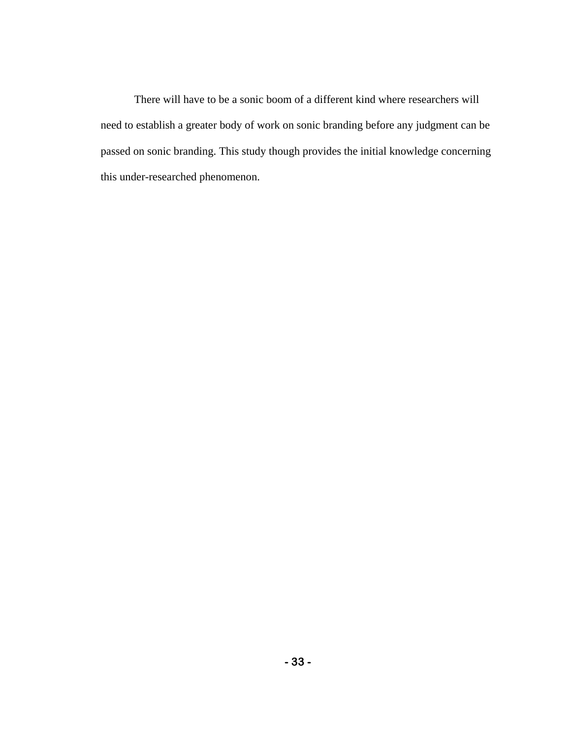There will have to be a sonic boom of a different kind where researchers will need to establish a greater body of work on sonic branding before any judgment can be passed on sonic branding. This study though provides the initial knowledge concerning this under-researched phenomenon.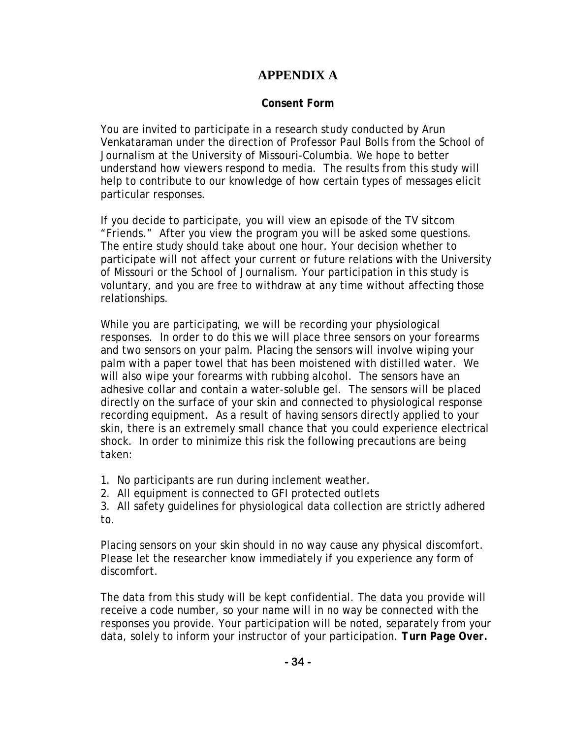# **APPENDIX A**

# **Consent Form**

You are invited to participate in a research study conducted by Arun Venkataraman under the direction of Professor Paul Bolls from the School of Journalism at the University of Missouri-Columbia. We hope to better understand how viewers respond to media. The results from this study will help to contribute to our knowledge of how certain types of messages elicit particular responses.

If you decide to participate, you will view an episode of the TV sitcom "Friends." After you view the program you will be asked some questions. The entire study should take about one hour. Your decision whether to participate will not affect your current or future relations with the University of Missouri or the School of Journalism. Your participation in this study is voluntary, and you are free to withdraw at any time without affecting those relationships.

While you are participating, we will be recording your physiological responses. In order to do this we will place three sensors on your forearms and two sensors on your palm. Placing the sensors will involve wiping your palm with a paper towel that has been moistened with distilled water. We will also wipe your forearms with rubbing alcohol. The sensors have an adhesive collar and contain a water-soluble gel. The sensors will be placed directly on the surface of your skin and connected to physiological response recording equipment. As a result of having sensors directly applied to your skin, there is an extremely small chance that you could experience electrical shock. In order to minimize this risk the following precautions are being taken:

- 1. No participants are run during inclement weather.
- 2. All equipment is connected to GFI protected outlets

3. All safety guidelines for physiological data collection are strictly adhered to.

Placing sensors on your skin should in no way cause any physical discomfort. Please let the researcher know immediately if you experience any form of discomfort.

The data from this study will be kept confidential. The data you provide will receive a code number, so your name will in no way be connected with the responses you provide. Your participation will be noted, separately from your data, solely to inform your instructor of your participation. *Turn Page Over.*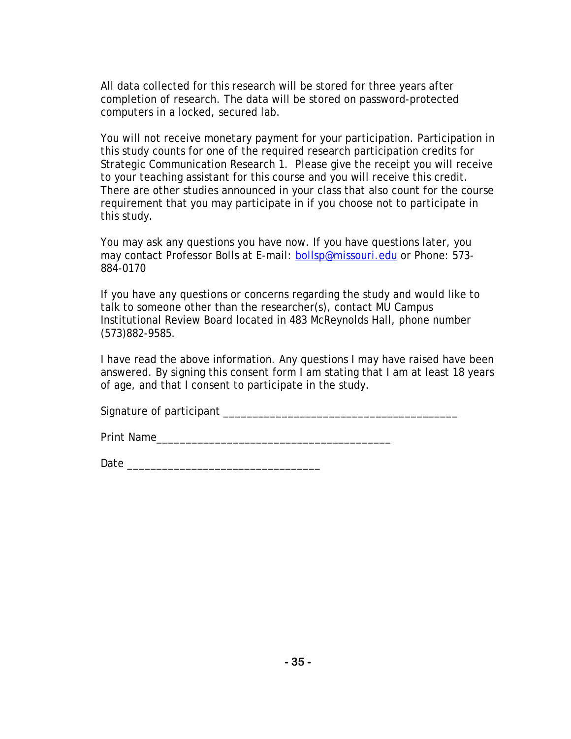All data collected for this research will be stored for three years after completion of research. The data will be stored on password-protected computers in a locked, secured lab.

You will not receive monetary payment for your participation. Participation in this study counts for one of the required research participation credits for Strategic Communication Research 1. Please give the receipt you will receive to your teaching assistant for this course and you will receive this credit. There are other studies announced in your class that also count for the course requirement that you may participate in if you choose not to participate in this study.

You may ask any questions you have now. If you have questions later, you may contact Professor Bolls at E-mail: [bollsp@missouri.edu](mailto:leshnerg@missouri.edu) or Phone: 573- 884-0170

If you have any questions or concerns regarding the study and would like to talk to someone other than the researcher(s), contact MU Campus Institutional Review Board located in 483 McReynolds Hall, phone number (573)882-9585.

I have read the above information. Any questions I may have raised have been answered. By signing this consent form I am stating that I am at least 18 years of age, and that I consent to participate in the study.

Signature of participant  $\Box$ 

Print Name

Date \_\_\_\_\_\_\_\_\_\_\_\_\_\_\_\_\_\_\_\_\_\_\_\_\_\_\_\_\_\_\_\_\_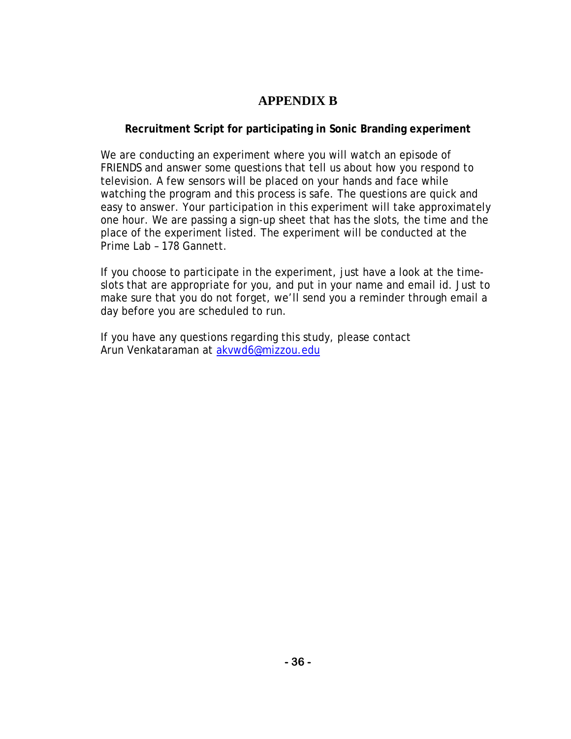# **APPENDIX B**

# **Recruitment Script for participating in Sonic Branding experiment**

We are conducting an experiment where you will watch an episode of *FRIENDS* and answer some questions that tell us about how you respond to television. A few sensors will be placed on your hands and face while watching the program and this process is safe. The questions are quick and easy to answer. Your participation in this experiment will take approximately one hour. We are passing a sign-up sheet that has the slots, the time and the place of the experiment listed. The experiment will be conducted at the Prime Lab – 178 Gannett.

If you choose to participate in the experiment, just have a look at the timeslots that are appropriate for you, and put in your name and email id. Just to make sure that you do not forget, we'll send you a reminder through email a day before you are scheduled to run.

If you have any questions regarding this study, please contact Arun Venkataraman at [akvwd6@mizzou.edu](mailto:akvwd6@mizzou.edu)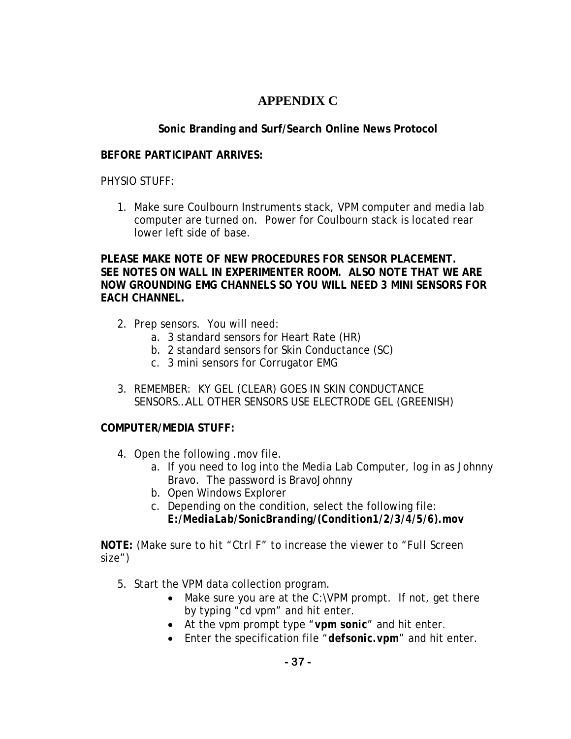# **APPENDIX C**

# **Sonic Branding and Surf/Search Online News Protocol**

## **BEFORE PARTICIPANT ARRIVES:**

PHYSIO STUFF:

1. Make sure Coulbourn Instruments stack, VPM computer and media lab computer are turned on. Power for Coulbourn stack is located rear lower left side of base.

**PLEASE MAKE NOTE OF NEW PROCEDURES FOR SENSOR PLACEMENT. SEE NOTES ON WALL IN EXPERIMENTER ROOM. ALSO NOTE THAT WE ARE NOW GROUNDING EMG CHANNELS SO YOU WILL NEED 3 MINI SENSORS FOR EACH CHANNEL.** 

- 2. Prep sensors. You will need:
	- a. 3 standard sensors for Heart Rate (HR)
	- b. 2 standard sensors for Skin Conductance (SC)
	- c. 3 mini sensors for Corrugator EMG
- 3. REMEMBER: KY GEL (CLEAR) GOES IN SKIN CONDUCTANCE SENSORS…ALL OTHER SENSORS USE ELECTRODE GEL (GREENISH)

# **COMPUTER/MEDIA STUFF:**

- 4. Open the following .mov file.
	- a. If you need to log into the Media Lab Computer, log in as Johnny Bravo. The password is BravoJohnny
	- b. Open Windows Explorer
	- c. Depending on the condition, select the following file: *E:/MediaLab/SonicBranding/(Condition1/2/3/4/5/6).mov*

**NOTE:** *(Make sure to hit "Ctrl F" to increase the viewer to "Full Screen size")* 

- 5. Start the VPM data collection program.
	- Make sure you are at the C:\VPM prompt. If not, get there by typing "cd vpm" and hit enter.
	- At the vpm prompt type "*vpm sonic*" and hit enter.
	- Enter the specification file "*defsonic.vpm*" and hit enter.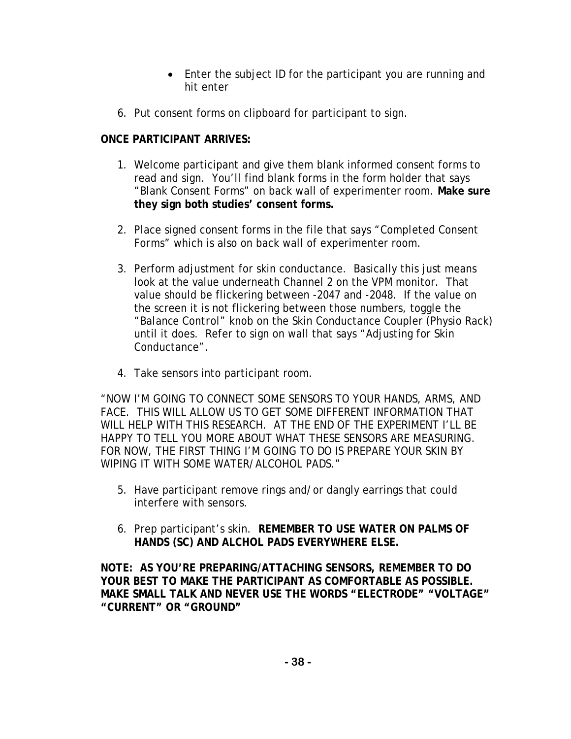- Enter the subject ID for the participant you are running and hit enter
- 6. Put consent forms on clipboard for participant to sign.

# **ONCE PARTICIPANT ARRIVES:**

- 1. Welcome participant and give them blank informed consent forms to read and sign. You'll find blank forms in the form holder that says "Blank Consent Forms" on back wall of experimenter room. **Make sure they sign both studies' consent forms.**
- 2. Place signed consent forms in the file that says *"Completed Consent Forms"* which is also on back wall of experimenter room.
- 3. Perform adjustment for skin conductance. Basically this just means look at the value underneath Channel 2 on the VPM monitor. That value should be flickering between -2047 and -2048. If the value on the screen it is not flickering between those numbers, toggle the *"Balance Control"* knob on the Skin Conductance Coupler (Physio Rack) until it does. Refer to sign on wall that says "Adjusting for Skin Conductance".
- 4. Take sensors into participant room.

"*NOW I'M GOING TO CONNECT SOME SENSORS TO YOUR HANDS, ARMS, AND FACE. THIS WILL ALLOW US TO GET SOME DIFFERENT INFORMATION THAT WILL HELP WITH THIS RESEARCH. AT THE END OF THE EXPERIMENT I'LL BE HAPPY TO TELL YOU MORE ABOUT WHAT THESE SENSORS ARE MEASURING. FOR NOW, THE FIRST THING I'M GOING TO DO IS PREPARE YOUR SKIN BY WIPING IT WITH SOME WATER/ALCOHOL PADS."* 

- 5. Have participant remove rings and/or dangly earrings that could interfere with sensors.
- 6. Prep participant's skin. **REMEMBER TO USE WATER ON PALMS OF HANDS (SC) AND ALCHOL PADS EVERYWHERE ELSE.**

**NOTE: AS YOU'RE PREPARING/ATTACHING SENSORS, REMEMBER TO DO YOUR BEST TO MAKE THE PARTICIPANT AS COMFORTABLE AS POSSIBLE. MAKE SMALL TALK AND NEVER USE THE WORDS "ELECTRODE" "VOLTAGE" "CURRENT" OR "GROUND"**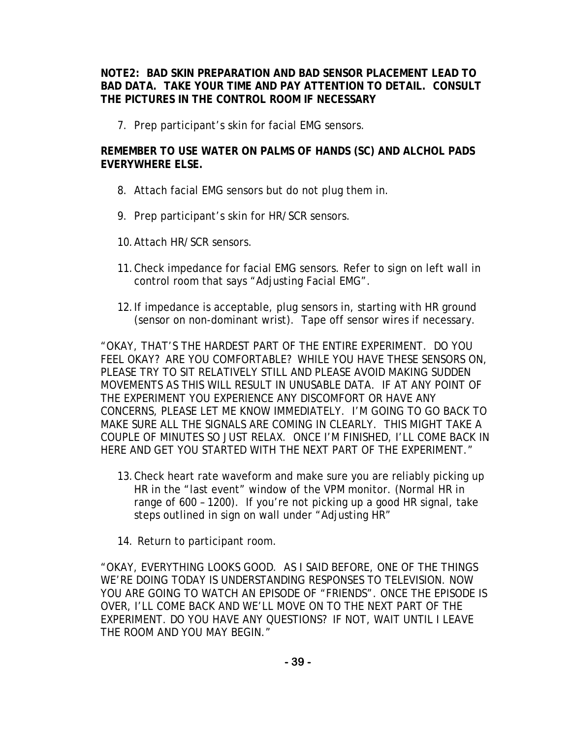## **NOTE2: BAD SKIN PREPARATION AND BAD SENSOR PLACEMENT LEAD TO BAD DATA. TAKE YOUR TIME AND PAY ATTENTION TO DETAIL. CONSULT THE PICTURES IN THE CONTROL ROOM IF NECESSARY**

7. Prep participant's skin for facial EMG sensors.

# **REMEMBER TO USE WATER ON PALMS OF HANDS (SC) AND ALCHOL PADS EVERYWHERE ELSE.**

- 8. Attach facial EMG sensors but do not plug them in.
- 9. Prep participant's skin for HR/SCR sensors.
- 10.Attach HR/SCR sensors.
- 11.Check impedance for facial EMG sensors. Refer to sign on left wall in control room that says "Adjusting Facial EMG".
- 12.If impedance is acceptable, plug sensors in, starting with HR ground (sensor on non-dominant wrist). Tape off sensor wires if necessary.

*"OKAY, THAT'S THE HARDEST PART OF THE ENTIRE EXPERIMENT. DO YOU FEEL OKAY? ARE YOU COMFORTABLE? WHILE YOU HAVE THESE SENSORS ON, PLEASE TRY TO SIT RELATIVELY STILL AND PLEASE AVOID MAKING SUDDEN MOVEMENTS AS THIS WILL RESULT IN UNUSABLE DATA. IF AT ANY POINT OF THE EXPERIMENT YOU EXPERIENCE ANY DISCOMFORT OR HAVE ANY CONCERNS, PLEASE LET ME KNOW IMMEDIATELY. I'M GOING TO GO BACK TO MAKE SURE ALL THE SIGNALS ARE COMING IN CLEARLY. THIS MIGHT TAKE A COUPLE OF MINUTES SO JUST RELAX. ONCE I'M FINISHED, I'LL COME BACK IN HERE AND GET YOU STARTED WITH THE NEXT PART OF THE EXPERIMENT."* 

- 13.Check heart rate waveform and make sure you are reliably picking up HR in the "last event" window of the VPM monitor. (Normal HR in range of 600 – 1200). If you're not picking up a good HR signal, take steps outlined in sign on wall under "Adjusting HR"
- 14. Return to participant room.

*"OKAY, EVERYTHING LOOKS GOOD. AS I SAID BEFORE, ONE OF THE THINGS WE'RE DOING TODAY IS UNDERSTANDING RESPONSES TO TELEVISION. NOW YOU ARE GOING TO WATCH AN EPISODE OF "FRIENDS". ONCE THE EPISODE IS OVER, I'LL COME BACK AND WE'LL MOVE ON TO THE NEXT PART OF THE EXPERIMENT. DO YOU HAVE ANY QUESTIONS? IF NOT, WAIT UNTIL I LEAVE THE ROOM AND YOU MAY BEGIN."*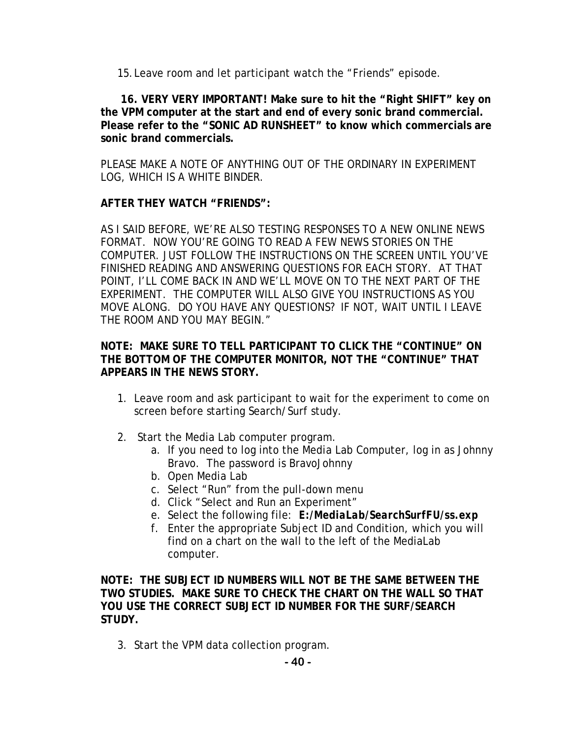15.Leave room and let participant watch the "Friends" episode.

 **16. VERY VERY IMPORTANT! Make sure to hit the "Right SHIFT" key on the VPM computer at the start and end of every sonic brand commercial. Please refer to the "SONIC AD RUNSHEET" to know which commercials are sonic brand commercials.** 

PLEASE MAKE A NOTE OF ANYTHING OUT OF THE ORDINARY IN EXPERIMENT LOG, WHICH IS A WHITE BINDER.

## **AFTER THEY WATCH "FRIENDS":**

*AS I SAID BEFORE, WE'RE ALSO TESTING RESPONSES TO A NEW ONLINE NEWS FORMAT. NOW YOU'RE GOING TO READ A FEW NEWS STORIES ON THE COMPUTER. JUST FOLLOW THE INSTRUCTIONS ON THE SCREEN UNTIL YOU'VE FINISHED READING AND ANSWERING QUESTIONS FOR EACH STORY. AT THAT POINT, I'LL COME BACK IN AND WE'LL MOVE ON TO THE NEXT PART OF THE EXPERIMENT. THE COMPUTER WILL ALSO GIVE YOU INSTRUCTIONS AS YOU MOVE ALONG. DO YOU HAVE ANY QUESTIONS? IF NOT, WAIT UNTIL I LEAVE THE ROOM AND YOU MAY BEGIN."* 

## **NOTE: MAKE SURE TO TELL PARTICIPANT TO CLICK THE "CONTINUE" ON THE BOTTOM OF THE COMPUTER MONITOR, NOT THE "CONTINUE" THAT APPEARS IN THE NEWS STORY.**

- 1. Leave room and ask participant to wait for the experiment to come on screen before starting Search/Surf study.
- 2. Start the Media Lab computer program.
	- a. If you need to log into the Media Lab Computer, log in as Johnny Bravo. The password is BravoJohnny
	- b. Open Media Lab
	- c. Select "Run" from the pull-down menu
	- d. Click "Select and Run an Experiment"
	- e. Select the following file: *E:/MediaLab/SearchSurfFU/ss.exp*
	- f. Enter the appropriate Subject ID and Condition, which you will find on a chart on the wall to the left of the MediaLab computer.

**NOTE: THE SUBJECT ID NUMBERS WILL NOT BE THE SAME BETWEEN THE TWO STUDIES. MAKE SURE TO CHECK THE CHART ON THE WALL SO THAT YOU USE THE CORRECT SUBJECT ID NUMBER FOR THE SURF/SEARCH STUDY.**

3. Start the VPM data collection program.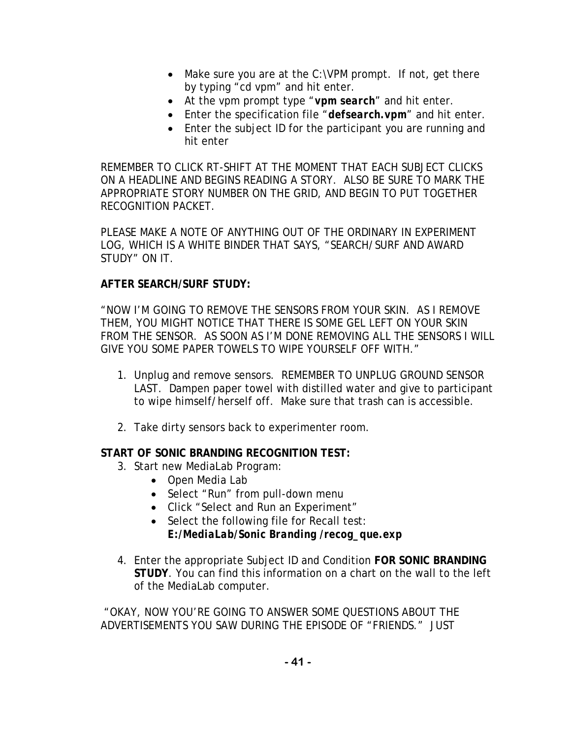- Make sure you are at the C:\VPM prompt. If not, get there by typing "cd vpm" and hit enter.
- At the vpm prompt type "*vpm search*" and hit enter.
- Enter the specification file "*defsearch.vpm*" and hit enter.
- Enter the subject ID for the participant you are running and hit enter

REMEMBER TO CLICK RT-SHIFT AT THE MOMENT THAT EACH SUBJECT CLICKS ON A HEADLINE AND BEGINS READING A STORY. ALSO BE SURE TO MARK THE APPROPRIATE STORY NUMBER ON THE GRID, AND BEGIN TO PUT TOGETHER RECOGNITION PACKET.

PLEASE MAKE A NOTE OF ANYTHING OUT OF THE ORDINARY IN EXPERIMENT LOG, WHICH IS A WHITE BINDER THAT SAYS, "SEARCH/SURF AND AWARD STUDY" ON IT.

# **AFTER SEARCH/SURF STUDY:**

*"NOW I'M GOING TO REMOVE THE SENSORS FROM YOUR SKIN. AS I REMOVE THEM, YOU MIGHT NOTICE THAT THERE IS SOME GEL LEFT ON YOUR SKIN FROM THE SENSOR. AS SOON AS I'M DONE REMOVING ALL THE SENSORS I WILL GIVE YOU SOME PAPER TOWELS TO WIPE YOURSELF OFF WITH."* 

- 1. Unplug and remove sensors. REMEMBER TO UNPLUG GROUND SENSOR LAST. Dampen paper towel with distilled water and give to participant to wipe himself/herself off. Make sure that trash can is accessible.
- 2. Take dirty sensors back to experimenter room.

# **START OF SONIC BRANDING RECOGNITION TEST:**

- 3. Start new MediaLab Program:
	- Open Media Lab
	- Select "Run" from pull-down menu
	- Click "Select and Run an Experiment"
	- Select the following file for Recall test: *E:/MediaLab/Sonic Branding /recog\_que.exp*
- 4. Enter the appropriate Subject ID and Condition **FOR SONIC BRANDING STUDY**. You can find this information on a chart on the wall to the left of the MediaLab computer.

 *"OKAY, NOW YOU'RE GOING TO ANSWER SOME QUESTIONS ABOUT THE ADVERTISEMENTS YOU SAW DURING THE EPISODE OF "FRIENDS." JUST*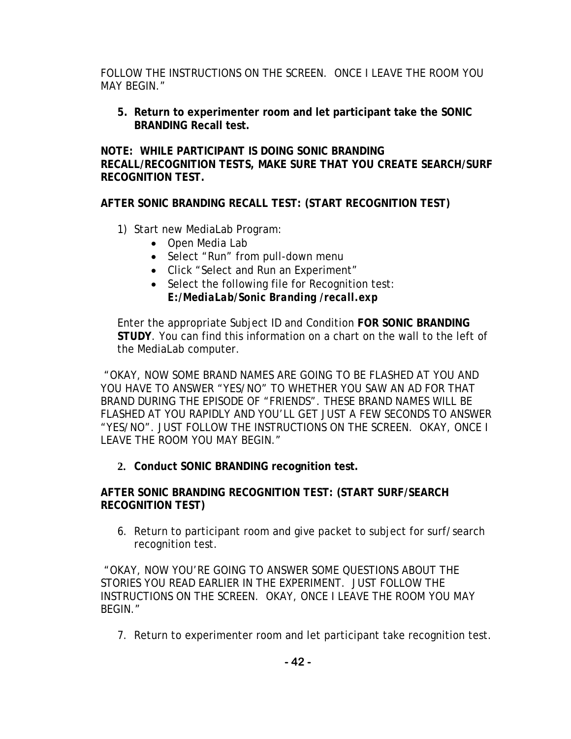*FOLLOW THE INSTRUCTIONS ON THE SCREEN. ONCE I LEAVE THE ROOM YOU MAY BEGIN."* 

**5. Return to experimenter room and let participant take the SONIC BRANDING Recall test.** 

**NOTE: WHILE PARTICIPANT IS DOING SONIC BRANDING RECALL/RECOGNITION TESTS, MAKE SURE THAT YOU CREATE SEARCH/SURF RECOGNITION TEST.** 

**AFTER SONIC BRANDING RECALL TEST: (START RECOGNITION TEST)** 

- 1) Start new MediaLab Program:
	- Open Media Lab
	- Select "Run" from pull-down menu
	- Click "Select and Run an Experiment"
	- Select the following file for Recognition test: *E:/MediaLab/Sonic Branding /recall.exp*

Enter the appropriate Subject ID and Condition **FOR SONIC BRANDING STUDY**. You can find this information on a chart on the wall to the left of the MediaLab computer.

 *"OKAY, NOW SOME BRAND NAMES ARE GOING TO BE FLASHED AT YOU AND YOU HAVE TO ANSWER "YES/NO" TO WHETHER YOU SAW AN AD FOR THAT BRAND DURING THE EPISODE OF "FRIENDS". THESE BRAND NAMES WILL BE FLASHED AT YOU RAPIDLY AND YOU'LL GET JUST A FEW SECONDS TO ANSWER "YES/NO". JUST FOLLOW THE INSTRUCTIONS ON THE SCREEN. OKAY, ONCE I LEAVE THE ROOM YOU MAY BEGIN."* 

**2. Conduct SONIC BRANDING recognition test.** 

**AFTER SONIC BRANDING RECOGNITION TEST: (START SURF/SEARCH RECOGNITION TEST)** 

*6.* Return to participant room and give packet to subject for surf/search recognition test.

 *"OKAY, NOW YOU'RE GOING TO ANSWER SOME QUESTIONS ABOUT THE STORIES YOU READ EARLIER IN THE EXPERIMENT. JUST FOLLOW THE INSTRUCTIONS ON THE SCREEN. OKAY, ONCE I LEAVE THE ROOM YOU MAY BEGIN."* 

7. Return to experimenter room and let participant take recognition test.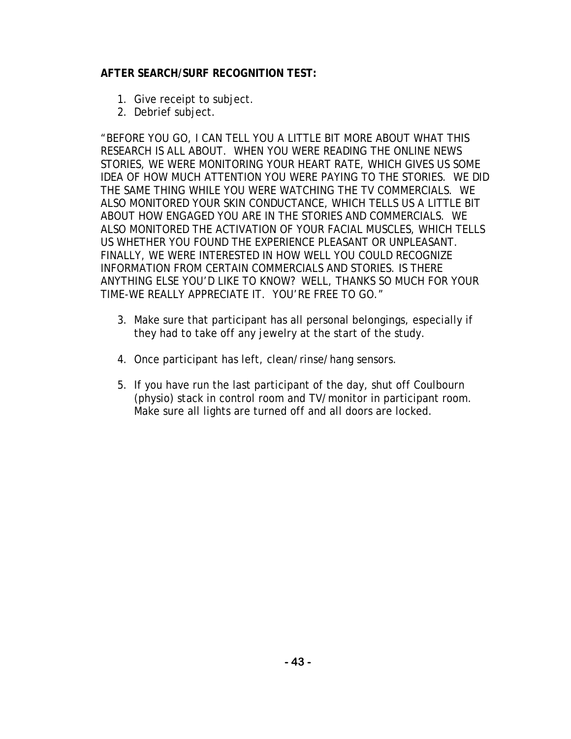# **AFTER SEARCH/SURF RECOGNITION TEST:**

- 1. Give receipt to subject.
- 2. Debrief subject.

*"BEFORE YOU GO, I CAN TELL YOU A LITTLE BIT MORE ABOUT WHAT THIS RESEARCH IS ALL ABOUT. WHEN YOU WERE READING THE ONLINE NEWS STORIES, WE WERE MONITORING YOUR HEART RATE, WHICH GIVES US SOME IDEA OF HOW MUCH ATTENTION YOU WERE PAYING TO THE STORIES. WE DID THE SAME THING WHILE YOU WERE WATCHING THE TV COMMERCIALS. WE ALSO MONITORED YOUR SKIN CONDUCTANCE, WHICH TELLS US A LITTLE BIT ABOUT HOW ENGAGED YOU ARE IN THE STORIES AND COMMERCIALS. WE ALSO MONITORED THE ACTIVATION OF YOUR FACIAL MUSCLES, WHICH TELLS US WHETHER YOU FOUND THE EXPERIENCE PLEASANT OR UNPLEASANT. FINALLY, WE WERE INTERESTED IN HOW WELL YOU COULD RECOGNIZE INFORMATION FROM CERTAIN COMMERCIALS AND STORIES. IS THERE ANYTHING ELSE YOU'D LIKE TO KNOW? WELL, THANKS SO MUCH FOR YOUR TIME-WE REALLY APPRECIATE IT. YOU'RE FREE TO GO."* 

- 3. Make sure that participant has all personal belongings, especially if they had to take off any jewelry at the start of the study.
- 4. Once participant has left, clean/rinse/hang sensors.
- 5. If you have run the last participant of the day, shut off Coulbourn (physio) stack in control room and TV/monitor in participant room. Make sure all lights are turned off and all doors are locked.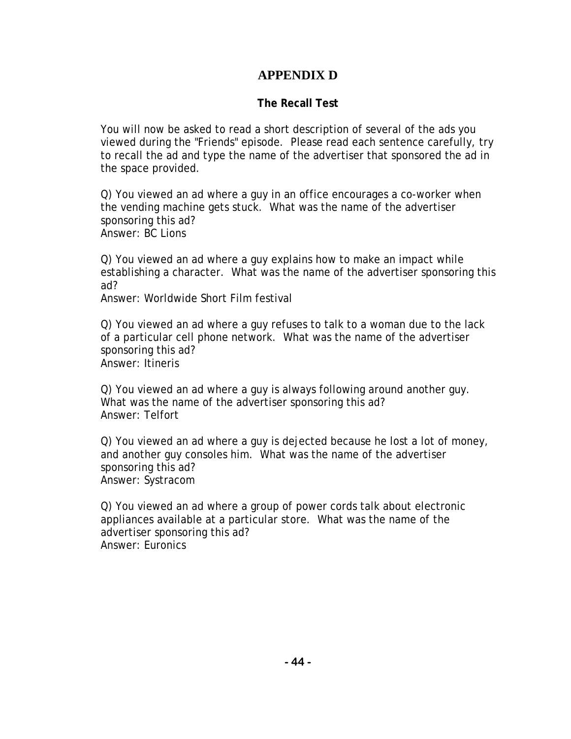# **APPENDIX D**

# **The Recall Test**

You will now be asked to read a short description of several of the ads you viewed during the "Friends" episode. Please read each sentence carefully, try to recall the ad and type the name of the advertiser that sponsored the ad in the space provided.

Q) You viewed an ad where a guy in an office encourages a co-worker when the vending machine gets stuck. What was the name of the advertiser sponsoring this ad? Answer: BC Lions

Q) You viewed an ad where a guy explains how to make an impact while establishing a character. What was the name of the advertiser sponsoring this ad?

Answer: Worldwide Short Film festival

Q) You viewed an ad where a guy refuses to talk to a woman due to the lack of a particular cell phone network. What was the name of the advertiser sponsoring this ad? Answer: Itineris

Q) You viewed an ad where a guy is always following around another guy. What was the name of the advertiser sponsoring this ad? Answer: Telfort

Q) You viewed an ad where a guy is dejected because he lost a lot of money, and another guy consoles him. What was the name of the advertiser sponsoring this ad? Answer: Systracom

Q) You viewed an ad where a group of power cords talk about electronic appliances available at a particular store. What was the name of the advertiser sponsoring this ad? Answer: Euronics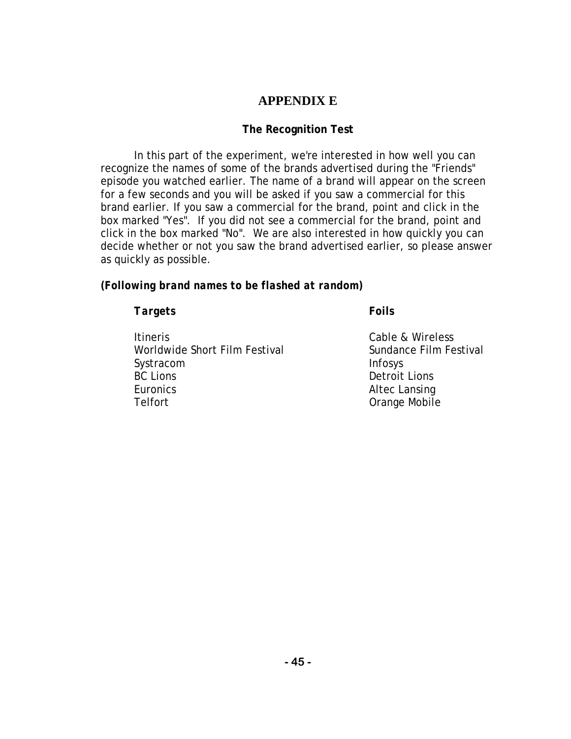# **APPENDIX E**

# **The Recognition Test**

In this part of the experiment, we're interested in how well you can recognize the names of some of the brands advertised during the "Friends" episode you watched earlier. The name of a brand will appear on the screen for a few seconds and you will be asked if you saw a commercial for this brand earlier. If you saw a commercial for the brand, point and click in the box marked "Yes". If you did not see a commercial for the brand, point and click in the box marked "No". We are also interested in how quickly you can decide whether or not you saw the brand advertised earlier, so please answer as quickly as possible.

# *(Following brand names to be flashed at random)*

## *Targets Foils*

Itineris Cable & Wireless Worldwide Short Film Festival **Sundance Film Festival** Sundance Film Festival Systracom Infosys BC Lions Detroit Lions Euronics Altec Lansing Telfort **Calculation** Crange Mobile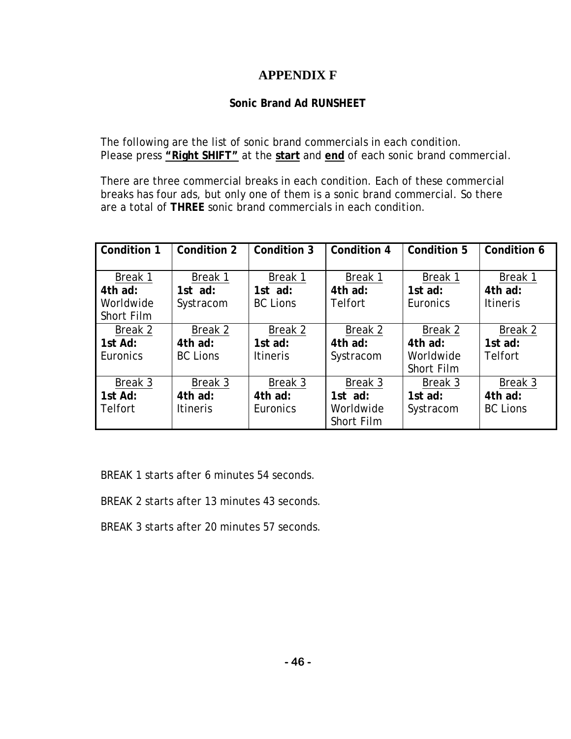# **APPENDIX F**

# **Sonic Brand Ad RUNSHEET**

The following are the list of sonic brand commercials in each condition. Please press **"Right SHIFT"** at the **start** and **end** of each sonic brand commercial.

There are three commercial breaks in each condition. Each of these commercial breaks has four ads, but only one of them is a sonic brand commercial. So there are a total of **THREE** sonic brand commercials in each condition.

| Condition 1    | Condition 2     | Condition 3     | Condition 4    | Condition 5 | Condition 6     |
|----------------|-----------------|-----------------|----------------|-------------|-----------------|
|                |                 |                 |                |             |                 |
| Break 1        | Break 1         | Break 1         | Break 1        | Break 1     | Break 1         |
| 4th ad:        | 1st ad:         | 1st $ad:$       | 4th ad:        | 1st $ad:$   | 4th ad:         |
| Worldwide      | Systracom       | <b>BC Lions</b> | <b>Telfort</b> | Euronics    | <b>Itineris</b> |
| Short Film     |                 |                 |                |             |                 |
| Break 2        | Break 2         | Break 2         | Break 2        | Break 2     | Break 2         |
| 1st Ad:        | 4th ad:         | 1st $ad:$       | 4th ad:        | 4th ad:     | 1st $ad:$       |
| Euronics       | <b>BC Lions</b> | <b>Itineris</b> | Systracom      | Worldwide   | <b>Telfort</b>  |
|                |                 |                 |                | Short Film  |                 |
| Break 3        | Break 3         | Break 3         | Break 3        | Break 3     | Break 3         |
| 1st Ad:        | 4th ad:         | 4th ad:         | 1st ad:        | 1st $ad:$   | 4th ad:         |
| <b>Telfort</b> | <b>Itineris</b> | Euronics        | Worldwide      | Systracom   | <b>BC Lions</b> |
|                |                 |                 | Short Film     |             |                 |

BREAK 1 starts after 6 minutes 54 seconds.

BREAK 2 starts after 13 minutes 43 seconds.

BREAK 3 starts after 20 minutes 57 seconds.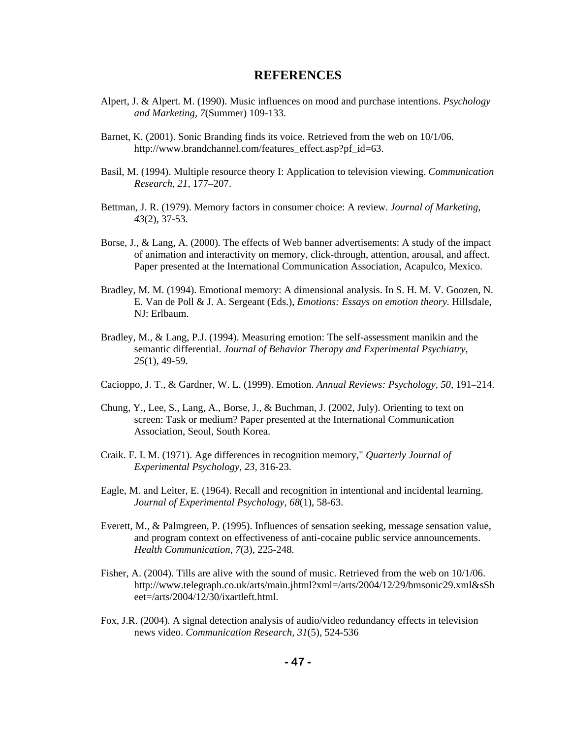### **REFERENCES**

- Alpert, J. & Alpert. M. (1990). Music influences on mood and purchase intentions. *Psychology and Marketing, 7*(Summer) 109-133.
- Barnet, K. (2001). Sonic Branding finds its voice. Retrieved from the web on 10/1/06. http://www.brandchannel.com/features\_effect.asp?pf\_id=63.
- Basil, M. (1994). Multiple resource theory I: Application to television viewing. *Communication Research, 21,* 177–207.
- Bettman, J. R. (1979). Memory factors in consumer choice: A review. *Journal of Marketing, 43*(2), 37-53.
- Borse, J., & Lang, A. (2000). The effects of Web banner advertisements: A study of the impact of animation and interactivity on memory, click-through, attention, arousal, and affect. Paper presented at the International Communication Association, Acapulco, Mexico.
- Bradley, M. M. (1994). Emotional memory: A dimensional analysis. In S. H. M. V. Goozen, N. E. Van de Poll & J. A. Sergeant (Eds.), *Emotions: Essays on emotion theory.* Hillsdale, NJ: Erlbaum.
- Bradley, M., & Lang, P.J. (1994). Measuring emotion: The self-assessment manikin and the semantic differential. *Journal of Behavior Therapy and Experimental Psychiatry, 25*(1), 49-59.
- Cacioppo, J. T., & Gardner, W. L. (1999). Emotion. *Annual Reviews: Psychology, 50,* 191–214.
- Chung, Y., Lee, S., Lang, A., Borse, J., & Buchman, J. (2002, July). Orienting to text on screen: Task or medium? Paper presented at the International Communication Association, Seoul, South Korea.
- Craik. F. I. M. (1971). Age differences in recognition memory," *Quarterly Journal of Experimental Psychology, 23,* 316-23.
- Eagle, M. and Leiter, E. (1964). Recall and recognition in intentional and incidental learning. *Journal of Experimental Psychology, 68*(1), 58-63.
- Everett, M., & Palmgreen, P. (1995). Influences of sensation seeking, message sensation value, and program context on effectiveness of anti-cocaine public service announcements. *Health Communication, 7*(3), 225-248.
- Fisher, A. (2004). Tills are alive with the sound of music. Retrieved from the web on 10/1/06. http://www.telegraph.co.uk/arts/main.jhtml?xml=/arts/2004/12/29/bmsonic29.xml&sSh eet=/arts/2004/12/30/ixartleft.html.
- Fox, J.R. (2004). A signal detection analysis of audio/video redundancy effects in television news video. *Communication Research, 31*(5), 524-536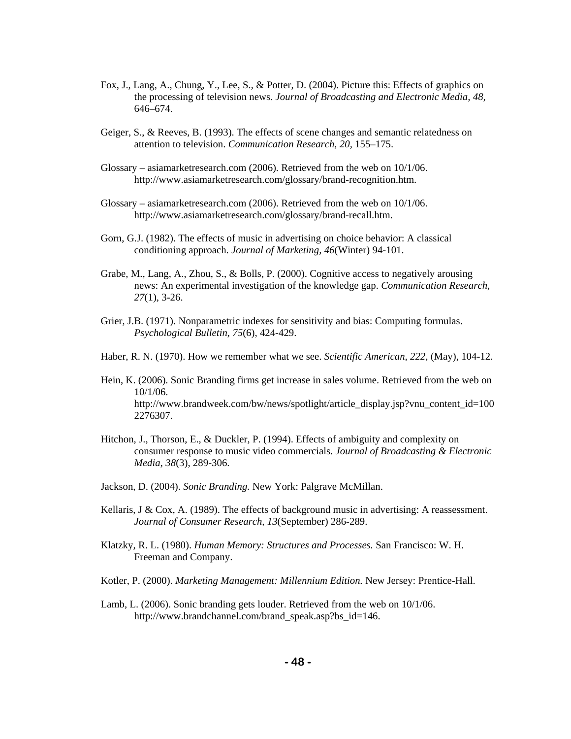- Fox, J., Lang, A., Chung, Y., Lee, S., & Potter, D. (2004). Picture this: Effects of graphics on the processing of television news. *Journal of Broadcasting and Electronic Media, 48,* 646–674.
- Geiger, S., & Reeves, B. (1993). The effects of scene changes and semantic relatedness on attention to television. *Communication Research, 20,* 155–175.
- Glossary asiamarketresearch.com (2006). Retrieved from the web on 10/1/06. http://www.asiamarketresearch.com/glossary/brand-recognition.htm.
- Glossary asiamarketresearch.com (2006). Retrieved from the web on 10/1/06. http://www.asiamarketresearch.com/glossary/brand-recall.htm.
- Gorn, G.J. (1982). The effects of music in advertising on choice behavior: A classical conditioning approach. *Journal of Marketing, 46*(Winter) 94-101.
- Grabe, M., Lang, A., Zhou, S., & Bolls, P. (2000). Cognitive access to negatively arousing news: An experimental investigation of the knowledge gap. *Communication Research, 27*(1), 3-26.
- Grier, J.B. (1971). Nonparametric indexes for sensitivity and bias: Computing formulas. *Psychological Bulletin, 75*(6), 424-429.
- Haber, R. N. (1970). How we remember what we see. *Scientific American, 222,* (May), 104-12.
- Hein, K. (2006). Sonic Branding firms get increase in sales volume. Retrieved from the web on 10/1/06. http://www.brandweek.com/bw/news/spotlight/article\_display.jsp?vnu\_content\_id=100 2276307.
- Hitchon, J., Thorson, E., & Duckler, P. (1994). Effects of ambiguity and complexity on consumer response to music video commercials. *Journal of Broadcasting & Electronic Media, 38*(3), 289-306.
- Jackson, D. (2004). *Sonic Branding.* New York: Palgrave McMillan.
- Kellaris, J & Cox, A. (1989). The effects of background music in advertising: A reassessment. *Journal of Consumer Research, 13*(September) 286-289.
- Klatzky, R. L. (1980). *Human Memory: Structures and Processes.* San Francisco: W. H. Freeman and Company.
- Kotler, P. (2000). *Marketing Management: Millennium Edition.* New Jersey: Prentice-Hall.
- Lamb, L. (2006). Sonic branding gets louder. Retrieved from the web on 10/1/06. http://www.brandchannel.com/brand\_speak.asp?bs\_id=146.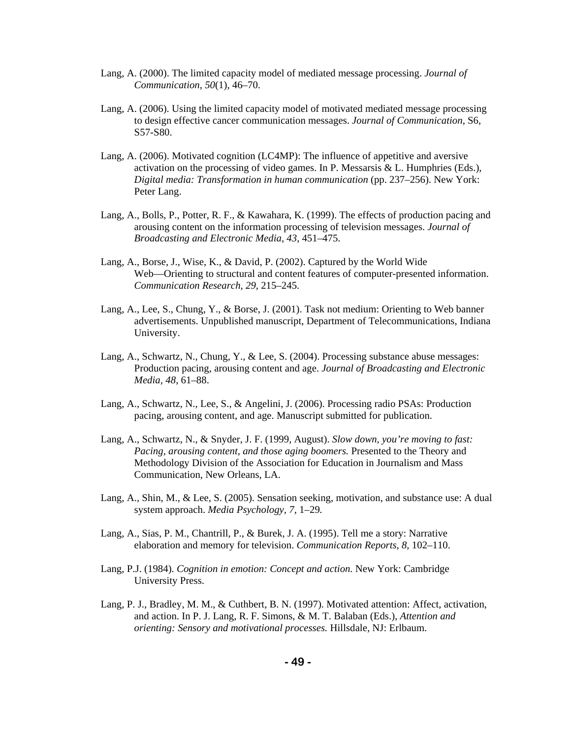- Lang, A. (2000). The limited capacity model of mediated message processing. *Journal of Communication, 50*(1), 46–70.
- Lang, A. (2006). Using the limited capacity model of motivated mediated message processing to design effective cancer communication messages. *Journal of Communication,* S6, S57-S80.
- Lang, A. (2006). Motivated cognition (LC4MP): The influence of appetitive and aversive activation on the processing of video games. In P. Messarsis & L. Humphries (Eds.), *Digital media: Transformation in human communication* (pp. 237–256). New York: Peter Lang.
- Lang, A., Bolls, P., Potter, R. F., & Kawahara, K. (1999). The effects of production pacing and arousing content on the information processing of television messages. *Journal of Broadcasting and Electronic Media, 43,* 451–475.
- Lang, A., Borse, J., Wise, K., & David, P. (2002). Captured by the World Wide Web—Orienting to structural and content features of computer-presented information.  *Communication Research, 29,* 215–245.
- Lang, A., Lee, S., Chung, Y., & Borse, J. (2001). Task not medium: Orienting to Web banner advertisements. Unpublished manuscript, Department of Telecommunications, Indiana University.
- Lang, A., Schwartz, N., Chung, Y., & Lee, S. (2004). Processing substance abuse messages: Production pacing, arousing content and age. *Journal of Broadcasting and Electronic Media, 48,* 61–88.
- Lang, A., Schwartz, N., Lee, S., & Angelini, J. (2006). Processing radio PSAs: Production pacing, arousing content, and age. Manuscript submitted for publication.
- Lang, A., Schwartz, N., & Snyder, J. F. (1999, August). *Slow down, you're moving to fast: Pacing, arousing content, and those aging boomers.* Presented to the Theory and Methodology Division of the Association for Education in Journalism and Mass Communication, New Orleans, LA.
- Lang, A., Shin, M., & Lee, S. (2005). Sensation seeking, motivation, and substance use: A dual system approach. *Media Psychology, 7,* 1–29*.*
- Lang, A., Sias, P. M., Chantrill, P., & Burek, J. A. (1995). Tell me a story: Narrative elaboration and memory for television. *Communication Reports, 8,* 102–110.
- Lang, P.J. (1984). *Cognition in emotion: Concept and action.* New York: Cambridge University Press.
- Lang, P. J., Bradley, M. M., & Cuthbert, B. N. (1997). Motivated attention: Affect, activation, and action. In P. J. Lang, R. F. Simons, & M. T. Balaban (Eds.), *Attention and orienting: Sensory and motivational processes.* Hillsdale, NJ: Erlbaum.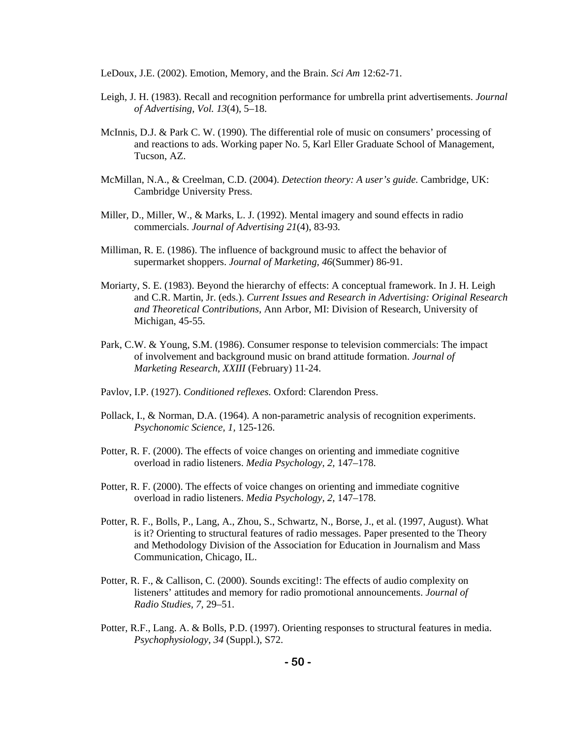LeDoux, J.E. (2002). Emotion, Memory, and the Brain. *Sci Am* 12:62-71.

- Leigh, J. H. (1983). Recall and recognition performance for umbrella print advertisements. *Journal of Advertising, Vol. 13*(4), 5–18.
- McInnis, D.J. & Park C. W. (1990). The differential role of music on consumers' processing of and reactions to ads. Working paper No. 5, Karl Eller Graduate School of Management, Tucson, AZ.
- McMillan, N.A., & Creelman, C.D. (2004). *Detection theory: A user's guide.* Cambridge, UK: Cambridge University Press.
- Miller, D., Miller, W., & Marks, L. J. (1992). Mental imagery and sound effects in radio commercials. *Journal of Advertising 21*(4), 83-93*.*
- Milliman, R. E. (1986). The influence of background music to affect the behavior of supermarket shoppers. *Journal of Marketing, 46*(Summer) 86-91.
- Moriarty, S. E. (1983). Beyond the hierarchy of effects: A conceptual framework. In J. H. Leigh and C.R. Martin, Jr. (eds.). *Current Issues and Research in Advertising: Original Research and Theoretical Contributions,* Ann Arbor, MI: Division of Research, University of Michigan, 45-55.
- Park, C.W. & Young, S.M. (1986). Consumer response to television commercials: The impact of involvement and background music on brand attitude formation. *Journal of Marketing Research*, *XXIII* (February) 11-24.
- Pavlov, I.P. (1927). *Conditioned reflexes.* Oxford: Clarendon Press.
- Pollack, I., & Norman, D.A. (1964). A non-parametric analysis of recognition experiments. *Psychonomic Science, 1,* 125-126.
- Potter, R. F. (2000). The effects of voice changes on orienting and immediate cognitive overload in radio listeners. *Media Psychology, 2,* 147–178.
- Potter, R. F. (2000). The effects of voice changes on orienting and immediate cognitive overload in radio listeners. *Media Psychology, 2,* 147–178.
- Potter, R. F., Bolls, P., Lang, A., Zhou, S., Schwartz, N., Borse, J., et al. (1997, August). What is it? Orienting to structural features of radio messages. Paper presented to the Theory and Methodology Division of the Association for Education in Journalism and Mass Communication, Chicago, IL.
- Potter, R. F., & Callison, C. (2000). Sounds exciting!: The effects of audio complexity on listeners' attitudes and memory for radio promotional announcements. *Journal of Radio Studies, 7,* 29–51.
- Potter, R.F., Lang. A. & Bolls, P.D. (1997). Orienting responses to structural features in media. *Psychophysiology, 34* (Suppl.), S72.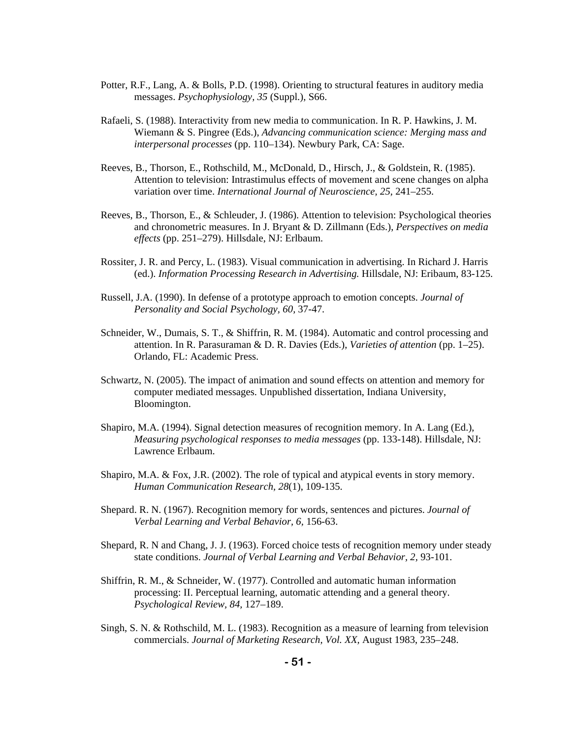- Potter, R.F., Lang, A. & Bolls, P.D. (1998). Orienting to structural features in auditory media messages. *Psychophysiology, 35* (Suppl.), S66.
- Rafaeli, S. (1988). Interactivity from new media to communication. In R. P. Hawkins, J. M. Wiemann & S. Pingree (Eds.), *Advancing communication science: Merging mass and interpersonal processes* (pp. 110–134). Newbury Park, CA: Sage.
- Reeves, B., Thorson, E., Rothschild, M., McDonald, D., Hirsch, J., & Goldstein, R. (1985). Attention to television: Intrastimulus effects of movement and scene changes on alpha variation over time. *International Journal of Neuroscience, 25,* 241–255.
- Reeves, B., Thorson, E., & Schleuder, J. (1986). Attention to television: Psychological theories and chronometric measures. In J. Bryant & D. Zillmann (Eds.), *Perspectives on media effects* (pp. 251–279). Hillsdale, NJ: Erlbaum.
- Rossiter, J. R. and Percy, L. (1983). Visual communication in advertising. In Richard J. Harris (ed.). *Information Processing Research in Advertising.* Hillsdale, NJ: Eribaum, 83-125.
- Russell, J.A. (1990). In defense of a prototype approach to emotion concepts. *Journal of Personality and Social Psychology, 60,* 37-47.
- Schneider, W., Dumais, S. T., & Shiffrin, R. M. (1984). Automatic and control processing and attention. In R. Parasuraman & D. R. Davies (Eds.), *Varieties of attention* (pp. 1–25). Orlando, FL: Academic Press.
- Schwartz, N. (2005). The impact of animation and sound effects on attention and memory for computer mediated messages. Unpublished dissertation, Indiana University, Bloomington.
- Shapiro, M.A. (1994). Signal detection measures of recognition memory. In A. Lang (Ed.), *Measuring psychological responses to media messages* (pp. 133-148). Hillsdale, NJ: Lawrence Erlbaum.
- Shapiro, M.A. & Fox, J.R. (2002). The role of typical and atypical events in story memory. *Human Communication Research, 28*(1), 109-135.
- Shepard. R. N. (1967). Recognition memory for words, sentences and pictures. *Journal of Verbal Learning and Verbal Behavior, 6,* 156-63.
- Shepard, R. N and Chang, J. J. (1963). Forced choice tests of recognition memory under steady state conditions. *Journal of Verbal Learning and Verbal Behavior, 2,* 93-101.
- Shiffrin, R. M., & Schneider, W. (1977). Controlled and automatic human information processing: II. Perceptual learning, automatic attending and a general theory. *Psychological Review, 84,* 127–189.
- Singh, S. N. & Rothschild, M. L. (1983). Recognition as a measure of learning from television commercials. *Journal of Marketing Research, Vol. XX,* August 1983, 235–248.